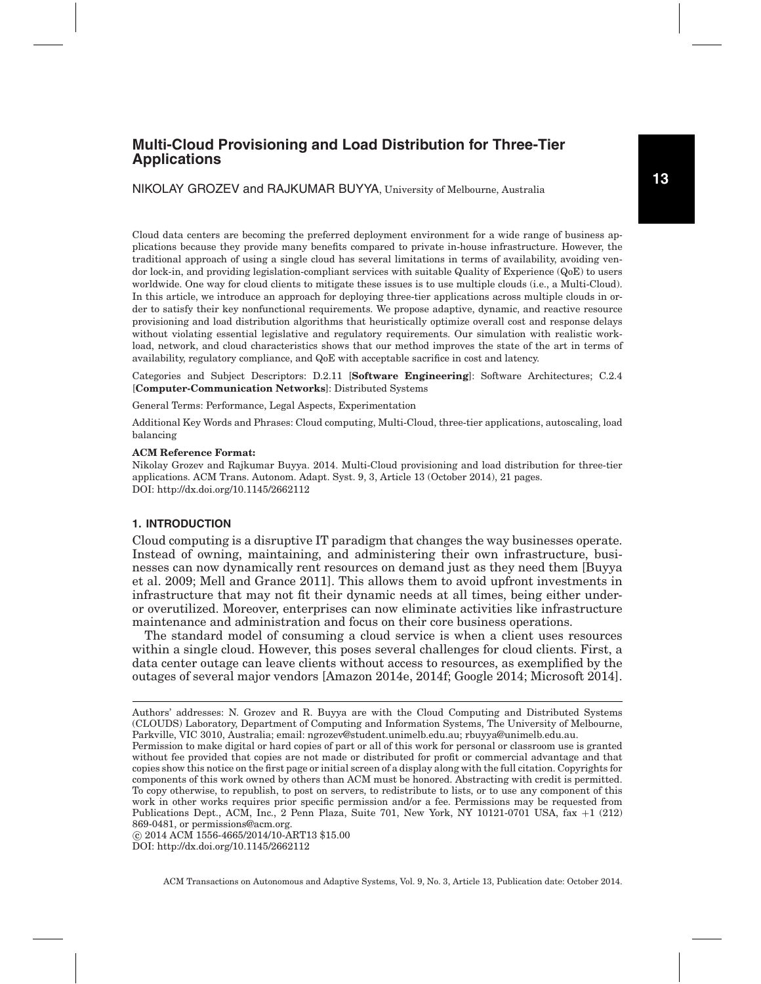# **Multi-Cloud Provisioning and Load Distribution for Three-Tier Applications**

NIKOLAY GROZEV and RAJKUMAR BUYYA, University of Melbourne, Australia

Cloud data centers are becoming the preferred deployment environment for a wide range of business applications because they provide many benefits compared to private in-house infrastructure. However, the traditional approach of using a single cloud has several limitations in terms of availability, avoiding vendor lock-in, and providing legislation-compliant services with suitable Quality of Experience (QoE) to users worldwide. One way for cloud clients to mitigate these issues is to use multiple clouds (i.e., a Multi-Cloud). In this article, we introduce an approach for deploying three-tier applications across multiple clouds in order to satisfy their key nonfunctional requirements. We propose adaptive, dynamic, and reactive resource provisioning and load distribution algorithms that heuristically optimize overall cost and response delays without violating essential legislative and regulatory requirements. Our simulation with realistic workload, network, and cloud characteristics shows that our method improves the state of the art in terms of availability, regulatory compliance, and QoE with acceptable sacrifice in cost and latency.

Categories and Subject Descriptors: D.2.11 [**Software Engineering**]: Software Architectures; C.2.4 [**Computer-Communication Networks**]: Distributed Systems

General Terms: Performance, Legal Aspects, Experimentation

Additional Key Words and Phrases: Cloud computing, Multi-Cloud, three-tier applications, autoscaling, load balancing

#### **ACM Reference Format:**

Nikolay Grozev and Rajkumar Buyya. 2014. Multi-Cloud provisioning and load distribution for three-tier applications. ACM Trans. Autonom. Adapt. Syst. 9, 3, Article 13 (October 2014), 21 pages. DOI:<http://dx.doi.org/10.1145/2662112>

#### **1. INTRODUCTION**

Cloud computing is a disruptive IT paradigm that changes the way businesses operate. Instead of owning, maintaining, and administering their own infrastructure, businesses can now dynamically rent resources on demand just as they need them [Buyya et al. [2009;](#page-19-0) Mell and Grance [2011\]](#page-20-0). This allows them to avoid upfront investments in infrastructure that may not fit their dynamic needs at all times, being either underor overutilized. Moreover, enterprises can now eliminate activities like infrastructure maintenance and administration and focus on their core business operations.

The standard model of consuming a cloud service is when a client uses resources within a single cloud. However, this poses several challenges for cloud clients. First, a data center outage can leave clients without access to resources, as exemplified by the outages of several major vendors [Amazon [2014e,](#page-18-0) [2014f;](#page-19-1) Google [2014;](#page-19-2) Microsoft [2014\]](#page-20-1).

-c 2014 ACM 1556-4665/2014/10-ART13 \$15.00

DOI:<http://dx.doi.org/10.1145/2662112>

Authors' addresses: N. Grozev and R. Buyya are with the Cloud Computing and Distributed Systems (CLOUDS) Laboratory, Department of Computing and Information Systems, The University of Melbourne, Parkville, VIC 3010, Australia; email: ngrozev@student.unimelb.edu.au; rbuyya@unimelb.edu.au.

Permission to make digital or hard copies of part or all of this work for personal or classroom use is granted without fee provided that copies are not made or distributed for profit or commercial advantage and that copies show this notice on the first page or initial screen of a display along with the full citation. Copyrights for components of this work owned by others than ACM must be honored. Abstracting with credit is permitted. To copy otherwise, to republish, to post on servers, to redistribute to lists, or to use any component of this work in other works requires prior specific permission and/or a fee. Permissions may be requested from Publications Dept., ACM, Inc., 2 Penn Plaza, Suite 701, New York, NY 10121-0701 USA, fax +1 (212) 869-0481, or permissions@acm.org.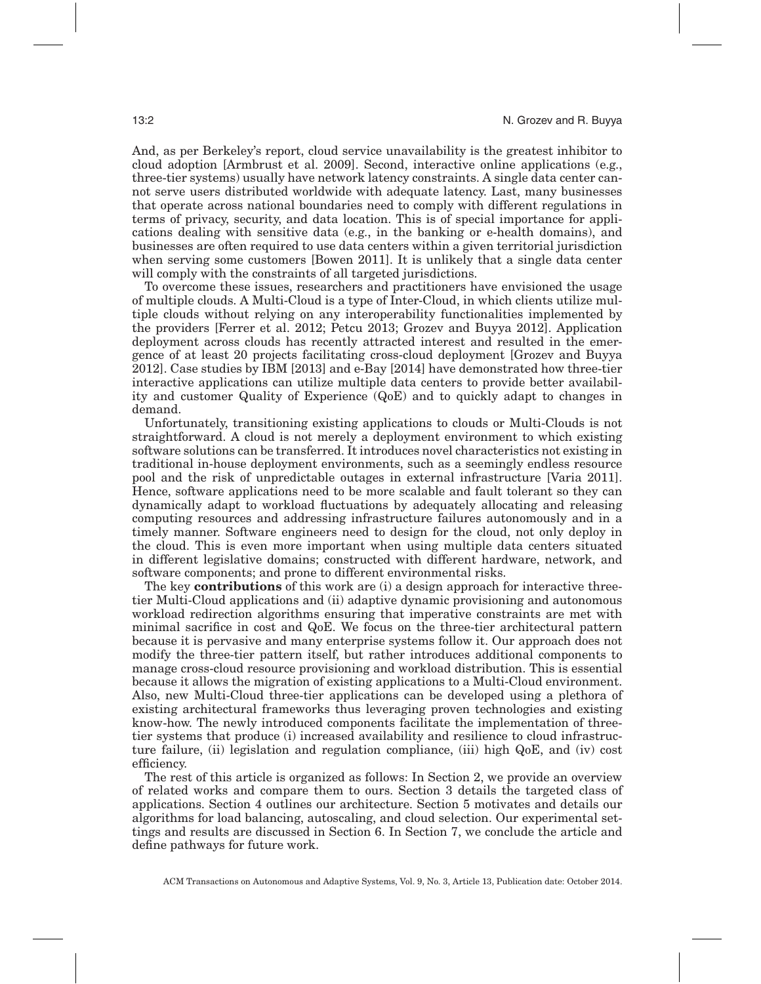And, as per Berkeley's report, cloud service unavailability is the greatest inhibitor to cloud adoption [Armbrust et al. [2009\]](#page-19-3). Second, interactive online applications (e.g., three-tier systems) usually have network latency constraints. A single data center cannot serve users distributed worldwide with adequate latency. Last, many businesses that operate across national boundaries need to comply with different regulations in terms of privacy, security, and data location. This is of special importance for applications dealing with sensitive data (e.g., in the banking or e-health domains), and businesses are often required to use data centers within a given territorial jurisdiction when serving some customers [Bowen [2011\]](#page-19-4). It is unlikely that a single data center will comply with the constraints of all targeted jurisdictions.

To overcome these issues, researchers and practitioners have envisioned the usage of multiple clouds. A Multi-Cloud is a type of Inter-Cloud, in which clients utilize multiple clouds without relying on any interoperability functionalities implemented by the providers [Ferrer et al. [2012;](#page-19-5) Petcu [2013;](#page-20-2) Grozev and Buyya [2012\]](#page-19-6). Application deployment across clouds has recently attracted interest and resulted in the emergence of at least 20 projects facilitating cross-cloud deployment [Grozev and Buyya [2012\]](#page-19-6). Case studies by IBM [\[2013\]](#page-19-7) and e-Bay [\[2014\]](#page-19-8) have demonstrated how three-tier interactive applications can utilize multiple data centers to provide better availability and customer Quality of Experience (QoE) and to quickly adapt to changes in demand.

Unfortunately, transitioning existing applications to clouds or Multi-Clouds is not straightforward. A cloud is not merely a deployment environment to which existing software solutions can be transferred. It introduces novel characteristics not existing in traditional in-house deployment environments, such as a seemingly endless resource pool and the risk of unpredictable outages in external infrastructure [Varia [2011\]](#page-20-3). Hence, software applications need to be more scalable and fault tolerant so they can dynamically adapt to workload fluctuations by adequately allocating and releasing computing resources and addressing infrastructure failures autonomously and in a timely manner. Software engineers need to design for the cloud, not only deploy in the cloud. This is even more important when using multiple data centers situated in different legislative domains; constructed with different hardware, network, and software components; and prone to different environmental risks.

The key **contributions** of this work are (i) a design approach for interactive threetier Multi-Cloud applications and (ii) adaptive dynamic provisioning and autonomous workload redirection algorithms ensuring that imperative constraints are met with minimal sacrifice in cost and QoE. We focus on the three-tier architectural pattern because it is pervasive and many enterprise systems follow it. Our approach does not modify the three-tier pattern itself, but rather introduces additional components to manage cross-cloud resource provisioning and workload distribution. This is essential because it allows the migration of existing applications to a Multi-Cloud environment. Also, new Multi-Cloud three-tier applications can be developed using a plethora of existing architectural frameworks thus leveraging proven technologies and existing know-how. The newly introduced components facilitate the implementation of threetier systems that produce (i) increased availability and resilience to cloud infrastructure failure, (ii) legislation and regulation compliance, (iii) high QoE, and (iv) cost efficiency.

The rest of this article is organized as follows: In Section [2,](#page-2-0) we provide an overview of related works and compare them to ours. Section [3](#page-2-1) details the targeted class of applications. Section [4](#page-3-0) outlines our architecture. Section [5](#page-6-0) motivates and details our algorithms for load balancing, autoscaling, and cloud selection. Our experimental settings and results are discussed in Section [6.](#page-12-0) In Section [7,](#page-18-1) we conclude the article and define pathways for future work.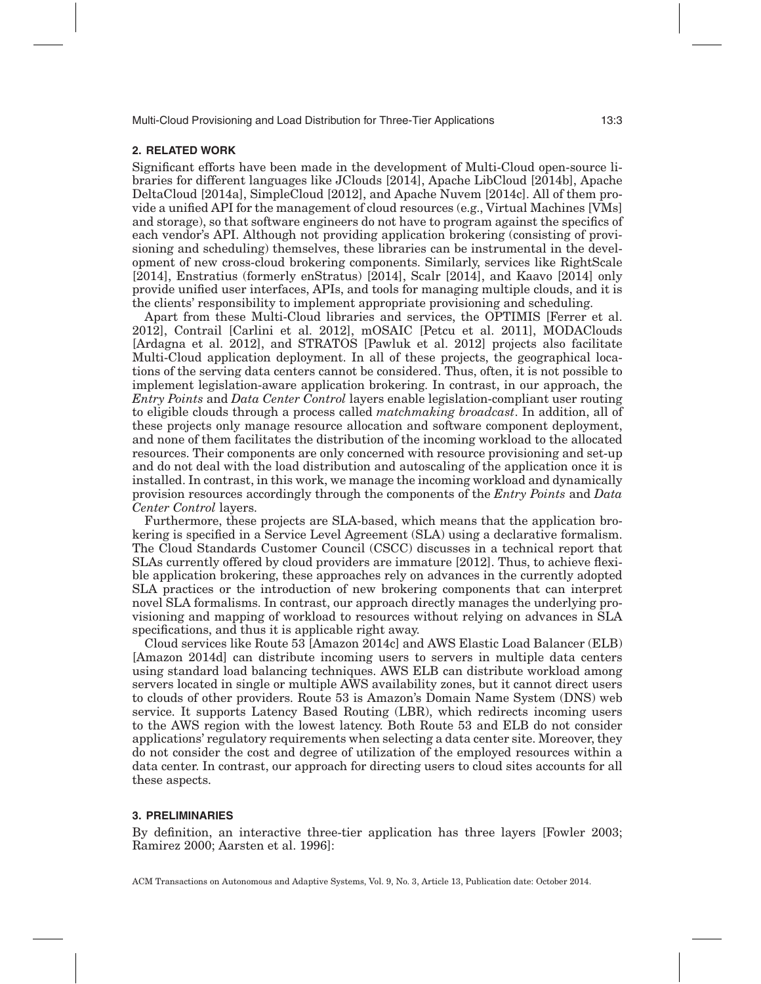### **2. RELATED WORK**

<span id="page-2-0"></span>Significant efforts have been made in the development of Multi-Cloud open-source libraries for different languages like JClouds [\[2014\]](#page-19-9), Apache LibCloud [\[2014b\]](#page-19-10), Apache DeltaCloud [\[2014a\]](#page-19-11), SimpleCloud [\[2012\]](#page-20-4), and Apache Nuvem [\[2014c\]](#page-19-12). All of them provide a unified API for the management of cloud resources (e.g., Virtual Machines [VMs] and storage), so that software engineers do not have to program against the specifics of each vendor's API. Although not providing application brokering (consisting of provisioning and scheduling) themselves, these libraries can be instrumental in the development of new cross-cloud brokering components. Similarly, services like RightScale [\[2014\]](#page-20-5), Enstratius (formerly enStratus) [\[2014\]](#page-19-13), Scalr [\[2014\]](#page-20-6), and Kaavo [\[2014\]](#page-19-14) only provide unified user interfaces, APIs, and tools for managing multiple clouds, and it is the clients' responsibility to implement appropriate provisioning and scheduling.

Apart from these Multi-Cloud libraries and services, the OPTIMIS [Ferrer et al. [2012\]](#page-19-5), Contrail [Carlini et al. [2012\]](#page-19-15), mOSAIC [Petcu et al. [2011\]](#page-20-7), MODAClouds [Ardagna et al. [2012\]](#page-19-16), and STRATOS [Pawluk et al. [2012\]](#page-20-8) projects also facilitate Multi-Cloud application deployment. In all of these projects, the geographical locations of the serving data centers cannot be considered. Thus, often, it is not possible to implement legislation-aware application brokering. In contrast, in our approach, the *Entry Points* and *Data Center Control* layers enable legislation-compliant user routing to eligible clouds through a process called *matchmaking broadcast*. In addition, all of these projects only manage resource allocation and software component deployment, and none of them facilitates the distribution of the incoming workload to the allocated resources. Their components are only concerned with resource provisioning and set-up and do not deal with the load distribution and autoscaling of the application once it is installed. In contrast, in this work, we manage the incoming workload and dynamically provision resources accordingly through the components of the *Entry Points* and *Data Center Control* layers.

Furthermore, these projects are SLA-based, which means that the application brokering is specified in a Service Level Agreement (SLA) using a declarative formalism. The Cloud Standards Customer Council (CSCC) discusses in a technical report that SLAs currently offered by cloud providers are immature [\[2012\]](#page-19-17). Thus, to achieve flexible application brokering, these approaches rely on advances in the currently adopted SLA practices or the introduction of new brokering components that can interpret novel SLA formalisms. In contrast, our approach directly manages the underlying provisioning and mapping of workload to resources without relying on advances in SLA specifications, and thus it is applicable right away.

Cloud services like Route 53 [Amazon [2014c\]](#page-18-2) and AWS Elastic Load Balancer (ELB) [Amazon [2014d\]](#page-18-3) can distribute incoming users to servers in multiple data centers using standard load balancing techniques. AWS ELB can distribute workload among servers located in single or multiple AWS availability zones, but it cannot direct users to clouds of other providers. Route 53 is Amazon's Domain Name System (DNS) web service. It supports Latency Based Routing (LBR), which redirects incoming users to the AWS region with the lowest latency. Both Route 53 and ELB do not consider applications' regulatory requirements when selecting a data center site. Moreover, they do not consider the cost and degree of utilization of the employed resources within a data center. In contrast, our approach for directing users to cloud sites accounts for all these aspects.

#### **3. PRELIMINARIES**

<span id="page-2-1"></span>By definition, an interactive three-tier application has three layers [Fowler [2003;](#page-19-18) Ramirez [2000;](#page-20-9) Aarsten et al. [1996\]](#page-18-4):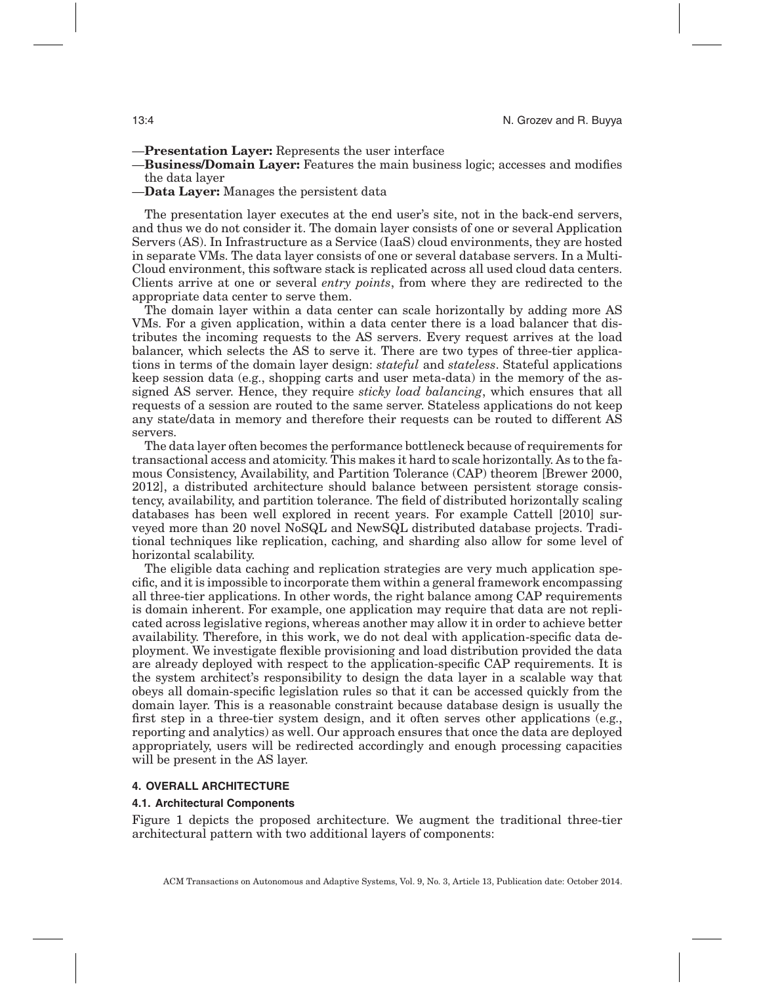- —**Presentation Layer:** Represents the user interface
- —**Business/Domain Layer:** Features the main business logic; accesses and modifies the data layer
- —**Data Layer:** Manages the persistent data

The presentation layer executes at the end user's site, not in the back-end servers, and thus we do not consider it. The domain layer consists of one or several Application Servers (AS). In Infrastructure as a Service (IaaS) cloud environments, they are hosted in separate VMs. The data layer consists of one or several database servers. In a Multi-Cloud environment, this software stack is replicated across all used cloud data centers. Clients arrive at one or several *entry points*, from where they are redirected to the appropriate data center to serve them.

The domain layer within a data center can scale horizontally by adding more AS VMs. For a given application, within a data center there is a load balancer that distributes the incoming requests to the AS servers. Every request arrives at the load balancer, which selects the AS to serve it. There are two types of three-tier applications in terms of the domain layer design: *stateful* and *stateless*. Stateful applications keep session data (e.g., shopping carts and user meta-data) in the memory of the assigned AS server. Hence, they require *sticky load balancing*, which ensures that all requests of a session are routed to the same server. Stateless applications do not keep any state/data in memory and therefore their requests can be routed to different AS servers.

The data layer often becomes the performance bottleneck because of requirements for transactional access and atomicity. This makes it hard to scale horizontally. As to the famous Consistency, Availability, and Partition Tolerance (CAP) theorem [Brewer [2000,](#page-19-19) [2012\]](#page-19-20), a distributed architecture should balance between persistent storage consistency, availability, and partition tolerance. The field of distributed horizontally scaling databases has been well explored in recent years. For example Cattell [\[2010\]](#page-19-21) surveyed more than 20 novel NoSQL and NewSQL distributed database projects. Traditional techniques like replication, caching, and sharding also allow for some level of horizontal scalability.

The eligible data caching and replication strategies are very much application specific, and it is impossible to incorporate them within a general framework encompassing all three-tier applications. In other words, the right balance among CAP requirements is domain inherent. For example, one application may require that data are not replicated across legislative regions, whereas another may allow it in order to achieve better availability. Therefore, in this work, we do not deal with application-specific data deployment. We investigate flexible provisioning and load distribution provided the data are already deployed with respect to the application-specific CAP requirements. It is the system architect's responsibility to design the data layer in a scalable way that obeys all domain-specific legislation rules so that it can be accessed quickly from the domain layer. This is a reasonable constraint because database design is usually the first step in a three-tier system design, and it often serves other applications (e.g., reporting and analytics) as well. Our approach ensures that once the data are deployed appropriately, users will be redirected accordingly and enough processing capacities will be present in the AS layer.

### **4. OVERALL ARCHITECTURE**

### <span id="page-3-0"></span>**4.1. Architectural Components**

Figure [1](#page-4-0) depicts the proposed architecture. We augment the traditional three-tier architectural pattern with two additional layers of components: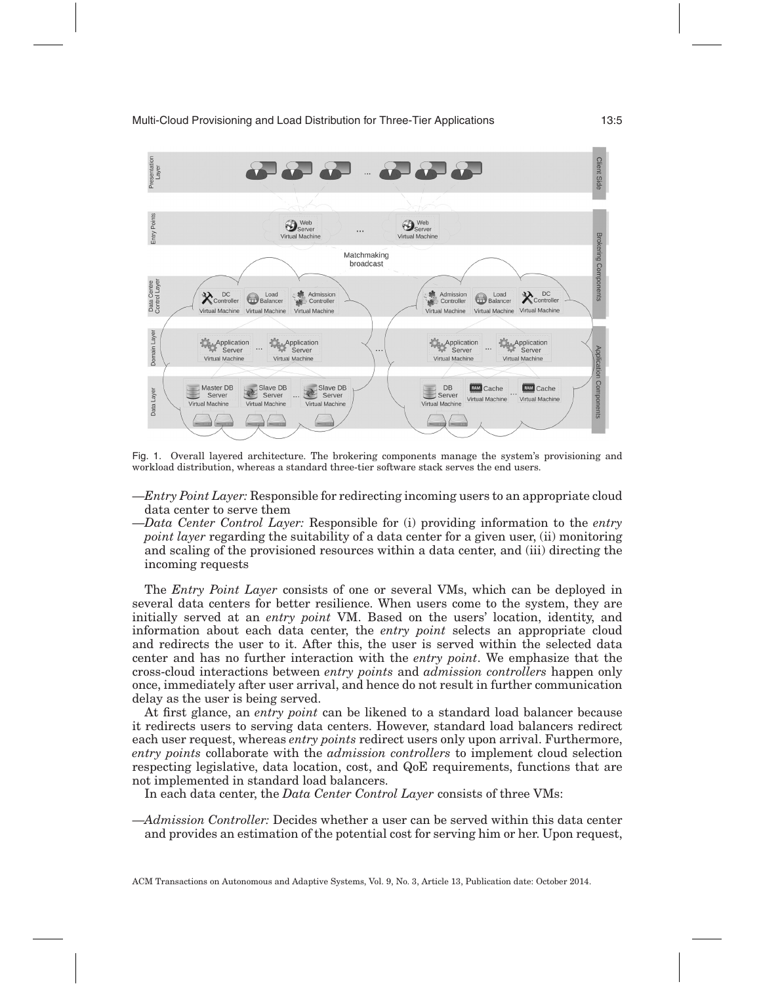<span id="page-4-0"></span>

Fig. 1. Overall layered architecture. The brokering components manage the system's provisioning and workload distribution, whereas a standard three-tier software stack serves the end users.

- —*Entry Point Layer:* Responsible for redirecting incoming users to an appropriate cloud data center to serve them
- —*Data Center Control Layer:* Responsible for (i) providing information to the *entry point layer* regarding the suitability of a data center for a given user, (ii) monitoring and scaling of the provisioned resources within a data center, and (iii) directing the incoming requests

The *Entry Point Layer* consists of one or several VMs, which can be deployed in several data centers for better resilience. When users come to the system, they are initially served at an *entry point* VM. Based on the users' location, identity, and information about each data center, the *entry point* selects an appropriate cloud and redirects the user to it. After this, the user is served within the selected data center and has no further interaction with the *entry point*. We emphasize that the cross-cloud interactions between *entry points* and *admission controllers* happen only once, immediately after user arrival, and hence do not result in further communication delay as the user is being served.

At first glance, an *entry point* can be likened to a standard load balancer because it redirects users to serving data centers. However, standard load balancers redirect each user request, whereas *entry points* redirect users only upon arrival. Furthermore, *entry points* collaborate with the *admission controllers* to implement cloud selection respecting legislative, data location, cost, and QoE requirements, functions that are not implemented in standard load balancers.

In each data center, the *Data Center Control Layer* consists of three VMs:

—*Admission Controller:* Decides whether a user can be served within this data center and provides an estimation of the potential cost for serving him or her. Upon request,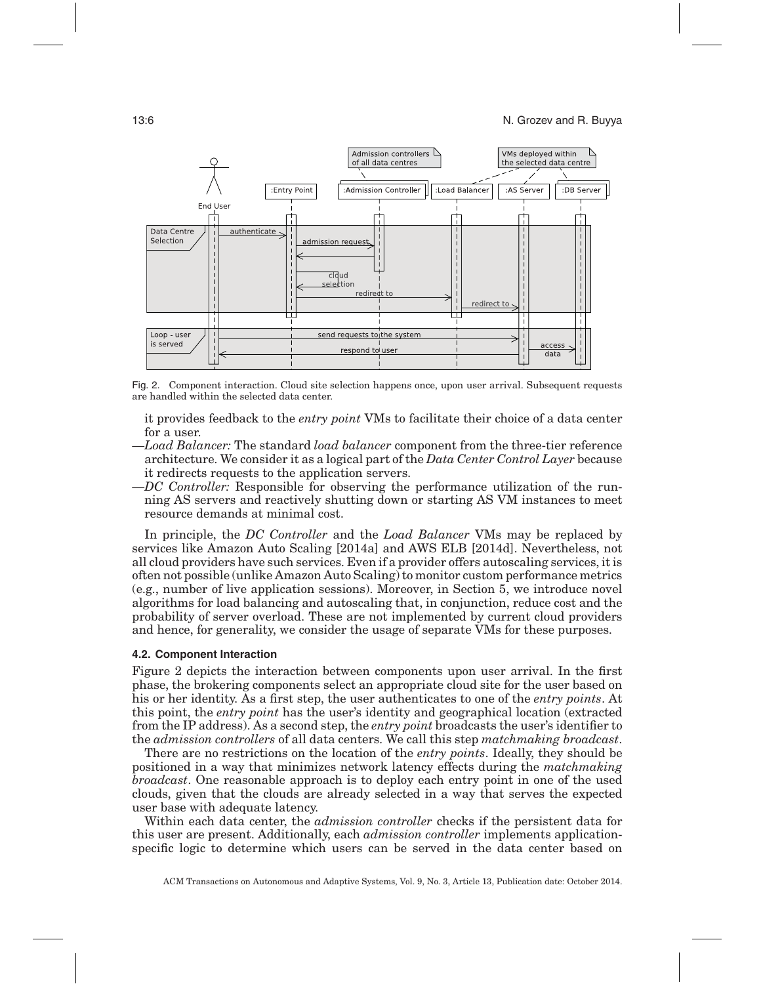<span id="page-5-0"></span>

Fig. 2. Component interaction. Cloud site selection happens once, upon user arrival. Subsequent requests are handled within the selected data center.

it provides feedback to the *entry point* VMs to facilitate their choice of a data center for a user.

- —*Load Balancer:* The standard *load balancer* component from the three-tier reference architecture. We consider it as a logical part of the *Data Center Control Layer* because it redirects requests to the application servers.
- —*DC Controller:* Responsible for observing the performance utilization of the running AS servers and reactively shutting down or starting AS VM instances to meet resource demands at minimal cost.

In principle, the *DC Controller* and the *Load Balancer* VMs may be replaced by services like Amazon Auto Scaling [\[2014a\]](#page-18-5) and AWS ELB [\[2014d\]](#page-18-3). Nevertheless, not all cloud providers have such services. Even if a provider offers autoscaling services, it is often not possible (unlike Amazon Auto Scaling) to monitor custom performance metrics (e.g., number of live application sessions). Moreover, in Section [5,](#page-6-0) we introduce novel algorithms for load balancing and autoscaling that, in conjunction, reduce cost and the probability of server overload. These are not implemented by current cloud providers and hence, for generality, we consider the usage of separate VMs for these purposes.

#### **4.2. Component Interaction**

Figure [2](#page-5-0) depicts the interaction between components upon user arrival. In the first phase, the brokering components select an appropriate cloud site for the user based on his or her identity. As a first step, the user authenticates to one of the *entry points*. At this point, the *entry point* has the user's identity and geographical location (extracted from the IP address). As a second step, the *entry point* broadcasts the user's identifier to the *admission controllers* of all data centers. We call this step *matchmaking broadcast*.

There are no restrictions on the location of the *entry points*. Ideally, they should be positioned in a way that minimizes network latency effects during the *matchmaking broadcast*. One reasonable approach is to deploy each entry point in one of the used clouds, given that the clouds are already selected in a way that serves the expected user base with adequate latency.

Within each data center, the *admission controller* checks if the persistent data for this user are present. Additionally, each *admission controller* implements applicationspecific logic to determine which users can be served in the data center based on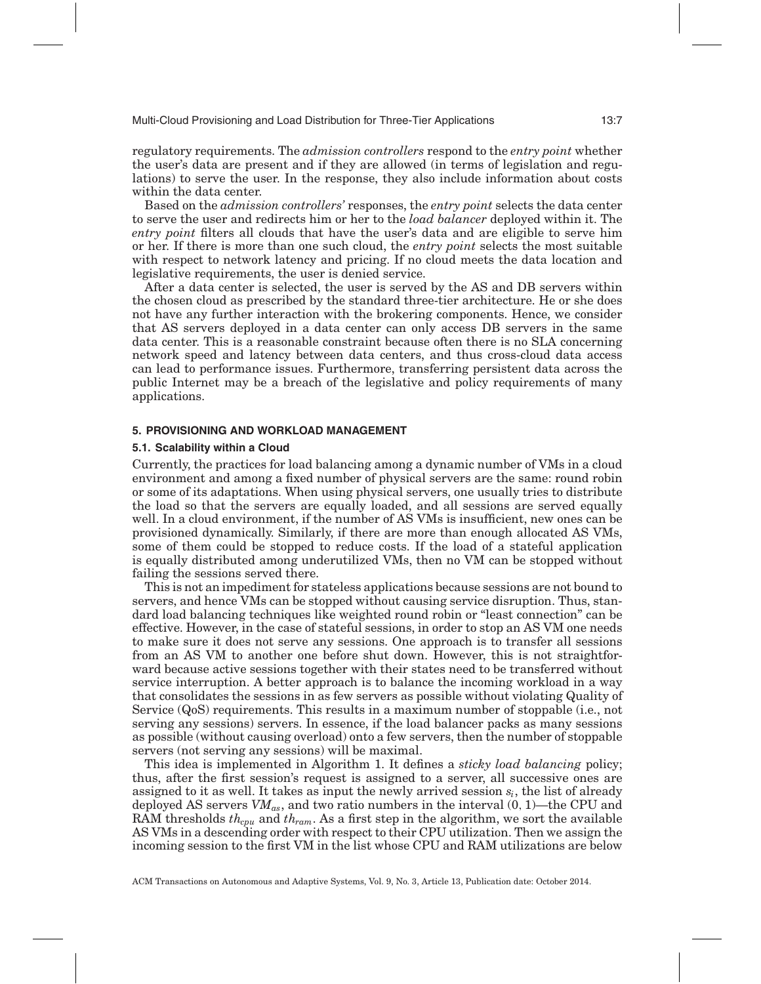Multi-Cloud Provisioning and Load Distribution for Three-Tier Applications 13:7

regulatory requirements. The *admission controllers* respond to the *entry point* whether the user's data are present and if they are allowed (in terms of legislation and regulations) to serve the user. In the response, they also include information about costs within the data center.

Based on the *admission controllers'* responses, the *entry point* selects the data center to serve the user and redirects him or her to the *load balancer* deployed within it. The *entry point* filters all clouds that have the user's data and are eligible to serve him or her. If there is more than one such cloud, the *entry point* selects the most suitable with respect to network latency and pricing. If no cloud meets the data location and legislative requirements, the user is denied service.

After a data center is selected, the user is served by the AS and DB servers within the chosen cloud as prescribed by the standard three-tier architecture. He or she does not have any further interaction with the brokering components. Hence, we consider that AS servers deployed in a data center can only access DB servers in the same data center. This is a reasonable constraint because often there is no SLA concerning network speed and latency between data centers, and thus cross-cloud data access can lead to performance issues. Furthermore, transferring persistent data across the public Internet may be a breach of the legislative and policy requirements of many applications.

## **5. PROVISIONING AND WORKLOAD MANAGEMENT**

#### <span id="page-6-0"></span>**5.1. Scalability within a Cloud**

Currently, the practices for load balancing among a dynamic number of VMs in a cloud environment and among a fixed number of physical servers are the same: round robin or some of its adaptations. When using physical servers, one usually tries to distribute the load so that the servers are equally loaded, and all sessions are served equally well. In a cloud environment, if the number of AS VMs is insufficient, new ones can be provisioned dynamically. Similarly, if there are more than enough allocated AS VMs, some of them could be stopped to reduce costs. If the load of a stateful application is equally distributed among underutilized VMs, then no VM can be stopped without failing the sessions served there.

This is not an impediment for stateless applications because sessions are not bound to servers, and hence VMs can be stopped without causing service disruption. Thus, standard load balancing techniques like weighted round robin or "least connection" can be effective. However, in the case of stateful sessions, in order to stop an AS VM one needs to make sure it does not serve any sessions. One approach is to transfer all sessions from an AS VM to another one before shut down. However, this is not straightforward because active sessions together with their states need to be transferred without service interruption. A better approach is to balance the incoming workload in a way that consolidates the sessions in as few servers as possible without violating Quality of Service (QoS) requirements. This results in a maximum number of stoppable (i.e., not serving any sessions) servers. In essence, if the load balancer packs as many sessions as possible (without causing overload) onto a few servers, then the number of stoppable servers (not serving any sessions) will be maximal.

<span id="page-6-1"></span>This idea is implemented in Algorithm [1.](#page-6-1) It defines a *sticky load balancing* policy; thus, after the first session's request is assigned to a server, all successive ones are assigned to it as well. It takes as input the newly arrived session *si*, the list of already deployed AS servers *VMas*, and two ratio numbers in the interval (0, 1)—the CPU and RAM thresholds  $th_{cpu}$  and  $th_{ram}$ . As a first step in the algorithm, we sort the available AS VMs in a descending order with respect to their CPU utilization. Then we assign the incoming session to the first VM in the list whose CPU and RAM utilizations are below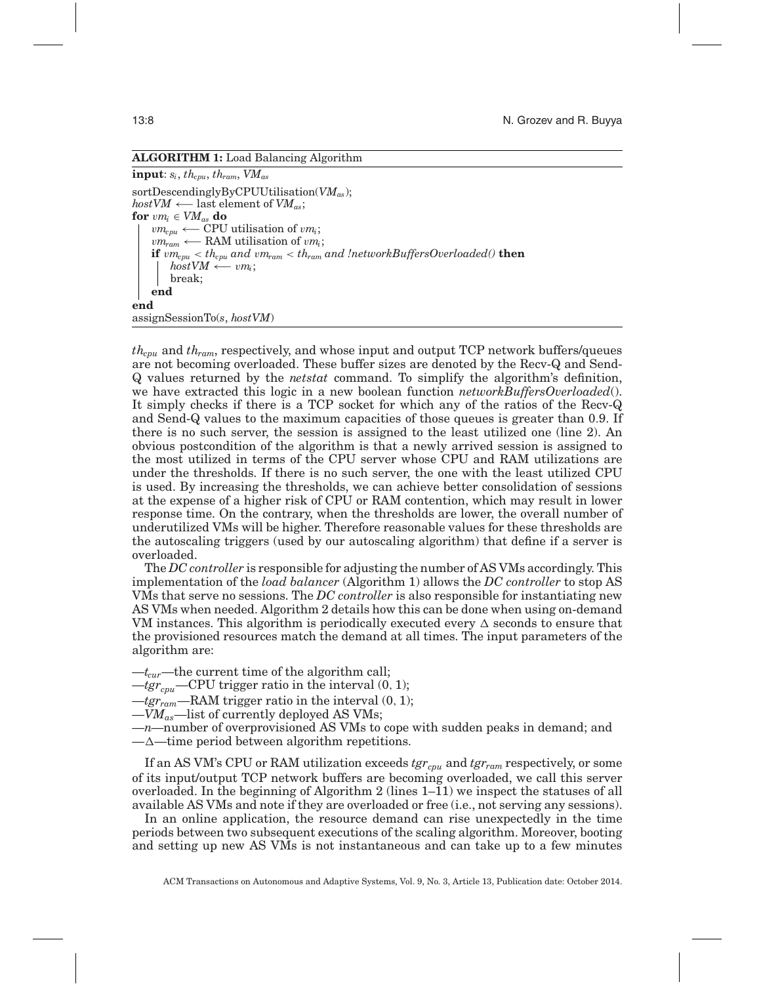## **ALGORITHM 1:** Load Balancing Algorithm

```
\textbf{input: } s_i, \textit{th}_{\textit{cpu}}, \textit{th}_{\textit{ram}}, \textit{VM}_{\textit{as}}sortDescendinglyByCPUUtilisation(VMas);
hostVM ←− last element of VMas;
for vm_i \in VM_{as} do
    vmcpu ←− CPU utilisation of vmi;
    vmram ←− RAM utilisation of vmi;
    if vmcpu < thcpu and vmram < thram and !networkBuffersOverloaded() then
        hostVM \leftarrow vn_i;break;
    end
end
assignSessionTo(s, hostVM)
```
 $th_{cpu}$  and  $th_{ram}$ , respectively, and whose input and output TCP network buffers/queues are not becoming overloaded. These buffer sizes are denoted by the Recv-Q and Send-Q values returned by the *netstat* command. To simplify the algorithm's definition, we have extracted this logic in a new boolean function *networkBuffersOverloaded*(). It simply checks if there is a TCP socket for which any of the ratios of the Recv-Q and Send-Q values to the maximum capacities of those queues is greater than 0.9. If there is no such server, the session is assigned to the least utilized one (line 2). An obvious postcondition of the algorithm is that a newly arrived session is assigned to the most utilized in terms of the CPU server whose CPU and RAM utilizations are under the thresholds. If there is no such server, the one with the least utilized CPU is used. By increasing the thresholds, we can achieve better consolidation of sessions at the expense of a higher risk of CPU or RAM contention, which may result in lower response time. On the contrary, when the thresholds are lower, the overall number of underutilized VMs will be higher. Therefore reasonable values for these thresholds are the autoscaling triggers (used by our autoscaling algorithm) that define if a server is overloaded.

The *DC controller* is responsible for adjusting the number of AS VMs accordingly. This implementation of the *load balancer* (Algorithm [1\)](#page-6-1) allows the *DC controller* to stop AS VMs that serve no sessions. The *DC controller* is also responsible for instantiating new AS VMs when needed. Algorithm [2](#page-7-0) details how this can be done when using on-demand VM instances. This algorithm is periodically executed every  $\Delta$  seconds to ensure that the provisioned resources match the demand at all times. The input parameters of the algorithm are:

 $-t_{cur}$ —the current time of the algorithm call;

 $-\textit{tgr}_{cpu}$ —CPU trigger ratio in the interval  $(0, 1)$ ;

—*tgrram*—RAM trigger ratio in the interval (0, 1);

—*VMas*—list of currently deployed AS VMs;

—*n*—number of overprovisioned AS VMs to cope with sudden peaks in demand; and  $-\Delta$ —time period between algorithm repetitions.

<span id="page-7-0"></span>If an AS VM's CPU or RAM utilization exceeds  $tgr_{cpu}$  and  $tgr_{ram}$  respectively, or some of its input/output TCP network buffers are becoming overloaded, we call this server overloaded. In the beginning of Algorithm [2](#page-7-0) (lines 1–11) we inspect the statuses of all available AS VMs and note if they are overloaded or free (i.e., not serving any sessions).

In an online application, the resource demand can rise unexpectedly in the time periods between two subsequent executions of the scaling algorithm. Moreover, booting and setting up new AS VMs is not instantaneous and can take up to a few minutes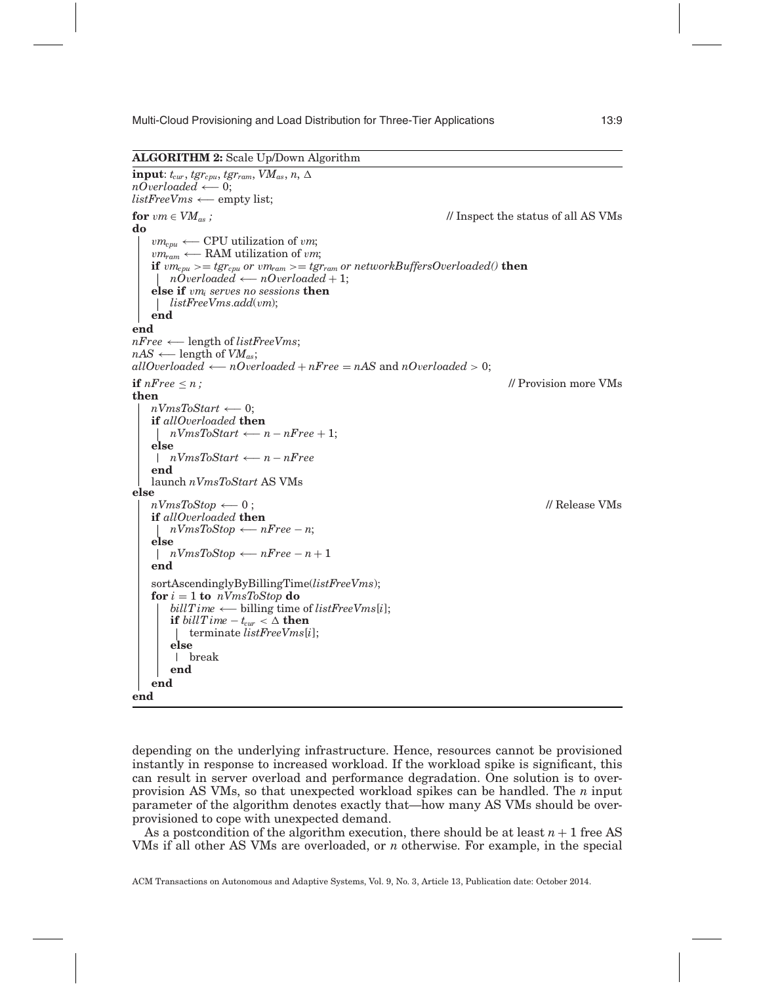```
ALGORITHM 2: Scale Up/Down Algorithm
\bold{input:} \text{ } t_{cur}, \text{ } tgr_{cpu}, \text{ } tgr_{ram}, \text{ } VM_{as}, \text{ } n, \text{ } \DeltanOverloaded ← 0;
listFreeVms ←− empty list;
for vm \in VM_{as}; // Inspect the status of all AS VMs
do
   vmcpu ←− CPU utilization of vm;
   vmram ←− RAM utilization of vm;
   if vm_{cpu} >= tgr_{cpu} or vm_{ram} >= tgr_{ram} or networkBuffersOverloaded() then
    nOverloaded ←− nOverloaded + 1;
   else if vmi serves no sessions then
   listFreeVms.add(vm);
   end
end
nFree ←− length of listFreeVms;
nAS ←− length of VMas;
allOverloaded \leftarrow nOverloaded + nFree = nAS and nOverloaded > 0;
if nFree < n; // Provision more VMs
then
   nVmsToStart ←− 0;
   if allOverloaded then
      nVmsToStart ←− n − nFree + 1;
   else
   nVmsToStart ←− n − nFree
   end
  launch nVmsToStart AS VMs
else
   nVmsToStop ←− 0; \theta // Release VMs
   if allOverloaded then
    nVmsToStop ←− nFree − n;
   else
    nVmsToStop ←− nFree − n+ 1
   end
   sortAscendinglyByBillingTime(listFreeVms);
   for i = 1 to nVmsToStop do
      billT ime ←− billing time of listFreeVms[i];
       \textbf{if } billTime - t_{cur} < \Delta \textbf{ then}terminate listFreeVms[i];
      else
       break
      end
   end
end
```
depending on the underlying infrastructure. Hence, resources cannot be provisioned instantly in response to increased workload. If the workload spike is significant, this can result in server overload and performance degradation. One solution is to overprovision AS VMs, so that unexpected workload spikes can be handled. The *n* input parameter of the algorithm denotes exactly that—how many AS VMs should be overprovisioned to cope with unexpected demand.

As a postcondition of the algorithm execution, there should be at least  $n+1$  free AS VMs if all other AS VMs are overloaded, or *n* otherwise. For example, in the special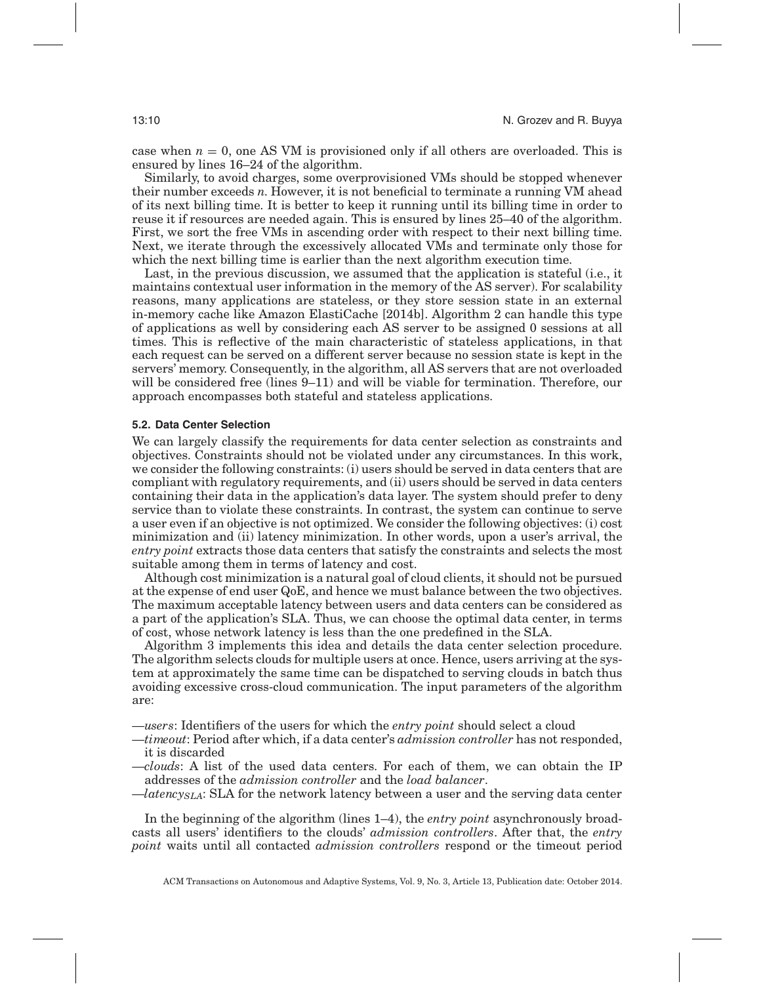case when  $n = 0$ , one AS VM is provisioned only if all others are overloaded. This is ensured by lines 16–24 of the algorithm.

Similarly, to avoid charges, some overprovisioned VMs should be stopped whenever their number exceeds *n*. However, it is not beneficial to terminate a running VM ahead of its next billing time. It is better to keep it running until its billing time in order to reuse it if resources are needed again. This is ensured by lines 25–40 of the algorithm. First, we sort the free VMs in ascending order with respect to their next billing time. Next, we iterate through the excessively allocated VMs and terminate only those for which the next billing time is earlier than the next algorithm execution time.

Last, in the previous discussion, we assumed that the application is stateful (i.e., it maintains contextual user information in the memory of the AS server). For scalability reasons, many applications are stateless, or they store session state in an external in-memory cache like Amazon ElastiCache [\[2014b\]](#page-18-6). Algorithm [2](#page-7-0) can handle this type of applications as well by considering each AS server to be assigned 0 sessions at all times. This is reflective of the main characteristic of stateless applications, in that each request can be served on a different server because no session state is kept in the servers' memory. Consequently, in the algorithm, all AS servers that are not overloaded will be considered free (lines 9–11) and will be viable for termination. Therefore, our approach encompasses both stateful and stateless applications.

### **5.2. Data Center Selection**

We can largely classify the requirements for data center selection as constraints and objectives. Constraints should not be violated under any circumstances. In this work, we consider the following constraints: (i) users should be served in data centers that are compliant with regulatory requirements, and (ii) users should be served in data centers containing their data in the application's data layer. The system should prefer to deny service than to violate these constraints. In contrast, the system can continue to serve a user even if an objective is not optimized. We consider the following objectives: (i) cost minimization and (ii) latency minimization. In other words, upon a user's arrival, the *entry point* extracts those data centers that satisfy the constraints and selects the most suitable among them in terms of latency and cost.

Although cost minimization is a natural goal of cloud clients, it should not be pursued at the expense of end user QoE, and hence we must balance between the two objectives. The maximum acceptable latency between users and data centers can be considered as a part of the application's SLA. Thus, we can choose the optimal data center, in terms of cost, whose network latency is less than the one predefined in the SLA.

<span id="page-9-0"></span>Algorithm [3](#page-9-0) implements this idea and details the data center selection procedure. The algorithm selects clouds for multiple users at once. Hence, users arriving at the system at approximately the same time can be dispatched to serving clouds in batch thus avoiding excessive cross-cloud communication. The input parameters of the algorithm are:

—*users*: Identifiers of the users for which the *entry point* should select a cloud

- —*timeout*: Period after which, if a data center's *admission controller* has not responded, it is discarded
- —*clouds*: A list of the used data centers. For each of them, we can obtain the IP addresses of the *admission controller* and the *load balancer*.
- $-\lambda t$ *ency<sub>SLA</sub>*: SLA for the network latency between a user and the serving data center

In the beginning of the algorithm (lines 1–4), the *entry point* asynchronously broadcasts all users' identifiers to the clouds' *admission controllers*. After that, the *entry point* waits until all contacted *admission controllers* respond or the timeout period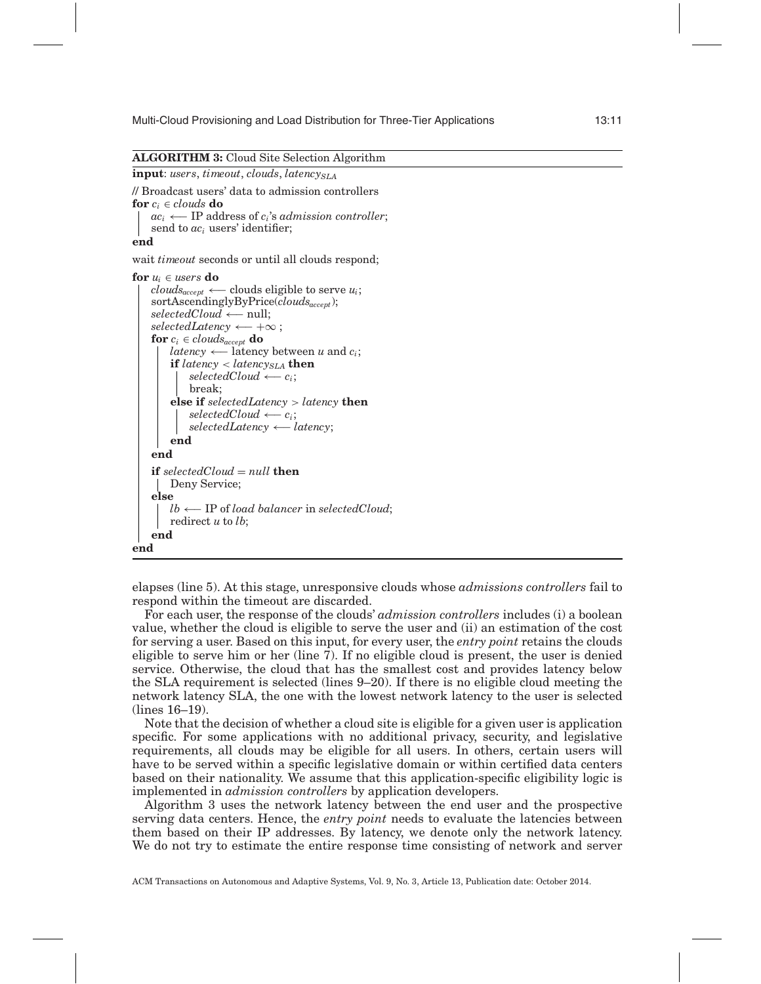```
ALGORITHM 3: Cloud Site Selection Algorithm
\overline{\mathbf{input}}: users, timeout, clouds, latency<sub>SLA</sub>
// Broadcast users' data to admission controllers
for c_i \in clouds do
    aci ←− IP address of ci's admission controller;
    send to aci users' identifier;
end
wait timeout seconds or until all clouds respond;
for u_i \in users do
    cloudsaccept ←− clouds eligible to serve ui;
    sortAscendinglyByPrice(cloudsaccept);
    selectedCloud ←− null;
    selectedLatency \leftarrow +\infty;
    for c_i \in clouds_{accept} do
        latency ←− latency between u and ci;
        if latency < latencySLA then
            selectedCloud \longleftarrow c_i;break;
        else if selectedLatency > latency then
            selectedCloud \longleftarrow c_i;selectedLatency ←− latency;
       end
    end
    if selectedCloud = null then
     Deny Service;
    else
        lb ←− IP of load balancer in selectedCloud;
        redirect u to lb;
    end
end
```
elapses (line 5). At this stage, unresponsive clouds whose *admissions controllers* fail to respond within the timeout are discarded.

For each user, the response of the clouds' *admission controllers* includes (i) a boolean value, whether the cloud is eligible to serve the user and (ii) an estimation of the cost for serving a user. Based on this input, for every user, the *entry point* retains the clouds eligible to serve him or her (line 7). If no eligible cloud is present, the user is denied service. Otherwise, the cloud that has the smallest cost and provides latency below the SLA requirement is selected (lines 9–20). If there is no eligible cloud meeting the network latency SLA, the one with the lowest network latency to the user is selected (lines 16–19).

Note that the decision of whether a cloud site is eligible for a given user is application specific. For some applications with no additional privacy, security, and legislative requirements, all clouds may be eligible for all users. In others, certain users will have to be served within a specific legislative domain or within certified data centers based on their nationality. We assume that this application-specific eligibility logic is implemented in *admission controllers* by application developers.

Algorithm [3](#page-9-0) uses the network latency between the end user and the prospective serving data centers. Hence, the *entry point* needs to evaluate the latencies between them based on their IP addresses. By latency, we denote only the network latency. We do not try to estimate the entire response time consisting of network and server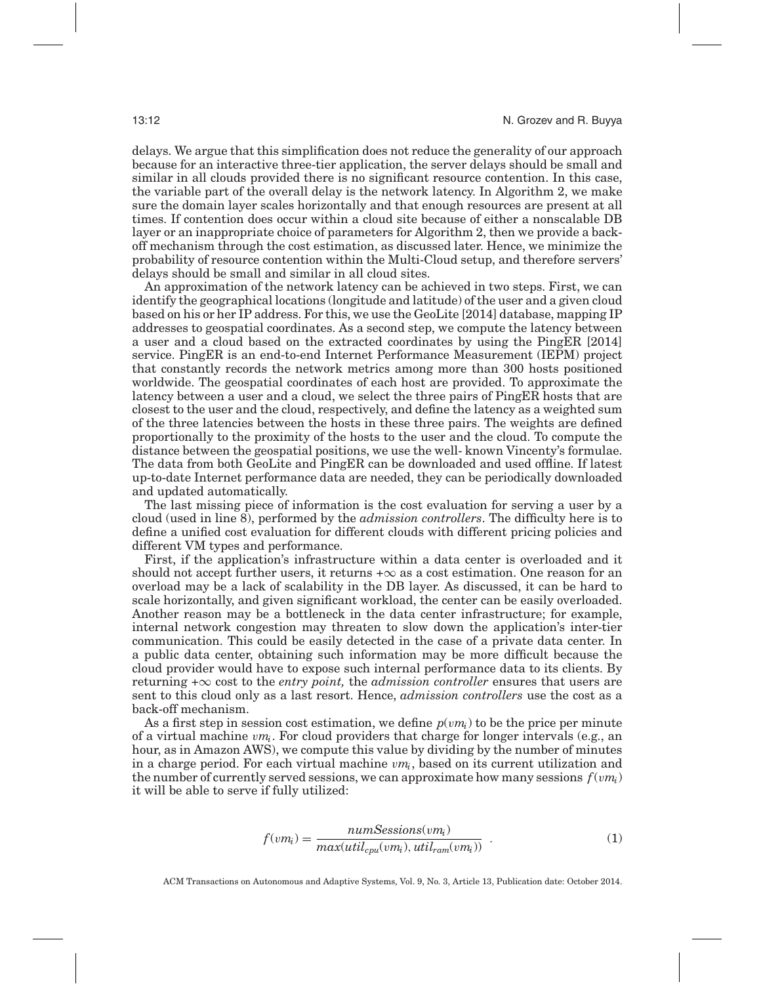delays. We argue that this simplification does not reduce the generality of our approach because for an interactive three-tier application, the server delays should be small and similar in all clouds provided there is no significant resource contention. In this case, the variable part of the overall delay is the network latency. In Algorithm [2,](#page-7-0) we make sure the domain layer scales horizontally and that enough resources are present at all times. If contention does occur within a cloud site because of either a nonscalable DB layer or an inappropriate choice of parameters for Algorithm [2,](#page-7-0) then we provide a backoff mechanism through the cost estimation, as discussed later. Hence, we minimize the probability of resource contention within the Multi-Cloud setup, and therefore servers' delays should be small and similar in all cloud sites.

An approximation of the network latency can be achieved in two steps. First, we can identify the geographical locations (longitude and latitude) of the user and a given cloud based on his or her IP address. For this, we use the GeoLite [\[2014\]](#page-19-22) database, mapping IP addresses to geospatial coordinates. As a second step, we compute the latency between a user and a cloud based on the extracted coordinates by using the PingER [\[2014\]](#page-20-10) service. PingER is an end-to-end Internet Performance Measurement (IEPM) project that constantly records the network metrics among more than 300 hosts positioned worldwide. The geospatial coordinates of each host are provided. To approximate the latency between a user and a cloud, we select the three pairs of PingER hosts that are closest to the user and the cloud, respectively, and define the latency as a weighted sum of the three latencies between the hosts in these three pairs. The weights are defined proportionally to the proximity of the hosts to the user and the cloud. To compute the distance between the geospatial positions, we use the well- known Vincenty's formulae. The data from both GeoLite and PingER can be downloaded and used offline. If latest up-to-date Internet performance data are needed, they can be periodically downloaded and updated automatically.

The last missing piece of information is the cost evaluation for serving a user by a cloud (used in line 8), performed by the *admission controllers*. The difficulty here is to define a unified cost evaluation for different clouds with different pricing policies and different VM types and performance.

First, if the application's infrastructure within a data center is overloaded and it should not accept further users, it returns  $+\infty$  as a cost estimation. One reason for an overload may be a lack of scalability in the DB layer. As discussed, it can be hard to scale horizontally, and given significant workload, the center can be easily overloaded. Another reason may be a bottleneck in the data center infrastructure; for example, internal network congestion may threaten to slow down the application's inter-tier communication. This could be easily detected in the case of a private data center. In a public data center, obtaining such information may be more difficult because the cloud provider would have to expose such internal performance data to its clients. By returning +∞ cost to the *entry point,* the *admission controller* ensures that users are sent to this cloud only as a last resort. Hence, *admission controllers* use the cost as a back-off mechanism.

As a first step in session cost estimation, we define  $p(v_m)$  to be the price per minute of a virtual machine v*mi*. For cloud providers that charge for longer intervals (e.g., an hour, as in Amazon AWS), we compute this value by dividing by the number of minutes in a charge period. For each virtual machine v*mi*, based on its current utilization and the number of currently served sessions, we can approximate how many sessions  $f(v_m_i)$ it will be able to serve if fully utilized:

$$
f(vm_i) = \frac{numSessions(vm_i)}{max(util_{cpu}(vm_i), util_{ram}(vm_i))}
$$
 (1)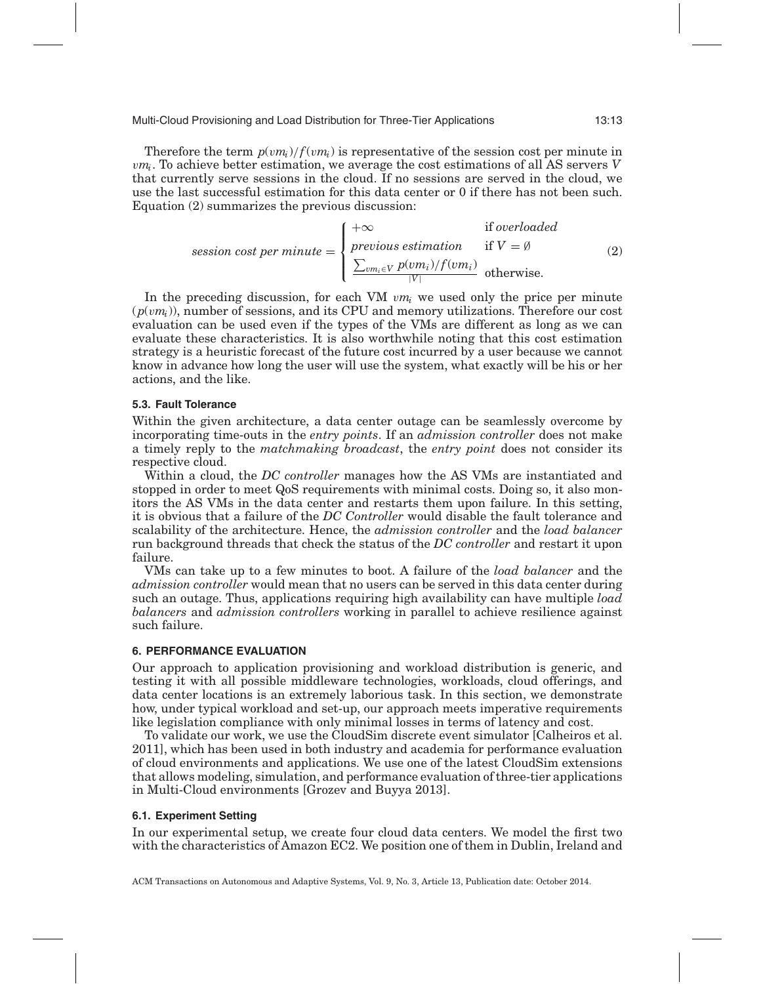Multi-Cloud Provisioning and Load Distribution for Three-Tier Applications 13:13

Therefore the term  $p(v_m)/f(v_m)$  is representative of the session cost per minute in v*mi*. To achieve better estimation, we average the cost estimations of all AS servers *V* that currently serve sessions in the cloud. If no sessions are served in the cloud, we use the last successful estimation for this data center or 0 if there has not been such. Equation (2) summarizes the previous discussion:

$$
session cost per minute = \begin{cases} +\infty & \text{if overloaded} \\ previous estimation & \text{if } V = \emptyset \\ \frac{\sum_{vm_i \in V} p(vm_i) / f(vm_i)}{|V|} & \text{otherwise.} \end{cases}
$$
(2)

In the preceding discussion, for each VM  $vm_i$  we used only the price per minute  $(p(v_m_i))$ , number of sessions, and its CPU and memory utilizations. Therefore our cost evaluation can be used even if the types of the VMs are different as long as we can evaluate these characteristics. It is also worthwhile noting that this cost estimation strategy is a heuristic forecast of the future cost incurred by a user because we cannot know in advance how long the user will use the system, what exactly will be his or her actions, and the like.

### **5.3. Fault Tolerance**

Within the given architecture, a data center outage can be seamlessly overcome by incorporating time-outs in the *entry points*. If an *admission controller* does not make a timely reply to the *matchmaking broadcast*, the *entry point* does not consider its respective cloud.

Within a cloud, the *DC controller* manages how the AS VMs are instantiated and stopped in order to meet QoS requirements with minimal costs. Doing so, it also monitors the AS VMs in the data center and restarts them upon failure. In this setting, it is obvious that a failure of the *DC Controller* would disable the fault tolerance and scalability of the architecture. Hence, the *admission controller* and the *load balancer* run background threads that check the status of the *DC controller* and restart it upon failure.

VMs can take up to a few minutes to boot. A failure of the *load balancer* and the *admission controller* would mean that no users can be served in this data center during such an outage. Thus, applications requiring high availability can have multiple *load balancers* and *admission controllers* working in parallel to achieve resilience against such failure.

### <span id="page-12-0"></span>**6. PERFORMANCE EVALUATION**

Our approach to application provisioning and workload distribution is generic, and testing it with all possible middleware technologies, workloads, cloud offerings, and data center locations is an extremely laborious task. In this section, we demonstrate how, under typical workload and set-up, our approach meets imperative requirements like legislation compliance with only minimal losses in terms of latency and cost.

To validate our work, we use the CloudSim discrete event simulator [Calheiros et al. [2011\]](#page-19-23), which has been used in both industry and academia for performance evaluation of cloud environments and applications. We use one of the latest CloudSim extensions that allows modeling, simulation, and performance evaluation of three-tier applications in Multi-Cloud environments [Grozev and Buyya [2013\]](#page-19-24).

## **6.1. Experiment Setting**

In our experimental setup, we create four cloud data centers. We model the first two with the characteristics of Amazon EC2. We position one of them in Dublin, Ireland and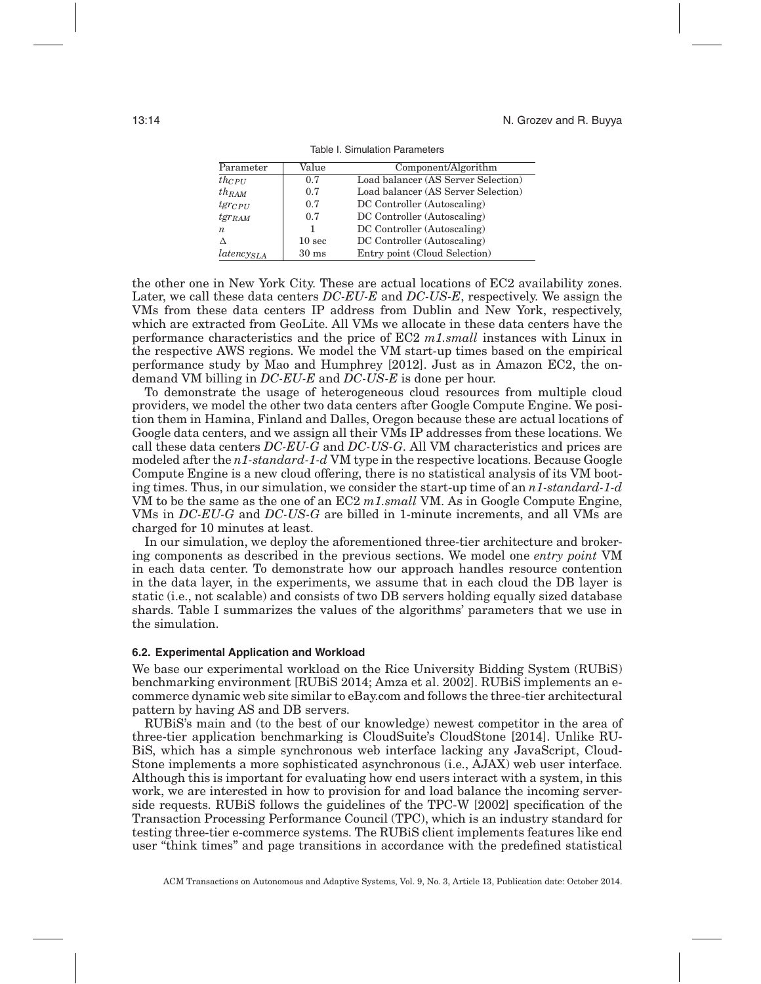<span id="page-13-0"></span>

| Parameter              | Value             | Component/Algorithm                 |
|------------------------|-------------------|-------------------------------------|
| $th_{CPU}$             | 0.7               | Load balancer (AS Server Selection) |
| $th$ <sub>RAM</sub>    | 0.7               | Load balancer (AS Server Selection) |
| $tgr_{CPU}$            | 0.7               | DC Controller (Autoscaling)         |
| $tgr_{RAM}$            | 0.7               | DC Controller (Autoscaling)         |
| n.                     | 1                 | DC Controller (Autoscaling)         |
|                        | 10 <sub>sec</sub> | DC Controller (Autoscaling)         |
| latency <sub>SLA</sub> | $30 \text{ ms}$   | Entry point (Cloud Selection)       |

Table I. Simulation Parameters

the other one in New York City. These are actual locations of EC2 availability zones. Later, we call these data centers *DC-EU-E* and *DC-US-E*, respectively. We assign the VMs from these data centers IP address from Dublin and New York, respectively, which are extracted from GeoLite. All VMs we allocate in these data centers have the performance characteristics and the price of EC2 *m1.small* instances with Linux in the respective AWS regions. We model the VM start-up times based on the empirical performance study by Mao and Humphrey [\[2012\]](#page-19-25). Just as in Amazon EC2, the ondemand VM billing in *DC-EU-E* and *DC-US-E* is done per hour.

To demonstrate the usage of heterogeneous cloud resources from multiple cloud providers, we model the other two data centers after Google Compute Engine. We position them in Hamina, Finland and Dalles, Oregon because these are actual locations of Google data centers, and we assign all their VMs IP addresses from these locations. We call these data centers *DC-EU-G* and *DC-US-G*. All VM characteristics and prices are modeled after the *n1-standard-1-d* VM type in the respective locations. Because Google Compute Engine is a new cloud offering, there is no statistical analysis of its VM booting times. Thus, in our simulation, we consider the start-up time of an *n1-standard-1-d* VM to be the same as the one of an EC2 *m1.small* VM. As in Google Compute Engine, VMs in *DC-EU-G* and *DC-US-G* are billed in 1-minute increments, and all VMs are charged for 10 minutes at least.

In our simulation, we deploy the aforementioned three-tier architecture and brokering components as described in the previous sections. We model one *entry point* VM in each data center. To demonstrate how our approach handles resource contention in the data layer, in the experiments, we assume that in each cloud the DB layer is static (i.e., not scalable) and consists of two DB servers holding equally sized database shards. Table [I](#page-13-0) summarizes the values of the algorithms' parameters that we use in the simulation.

#### **6.2. Experimental Application and Workload**

We base our experimental workload on the Rice University Bidding System (RUBiS) benchmarking environment [RUBiS [2014;](#page-20-11) Amza et al. [2002\]](#page-19-26). RUBiS implements an ecommerce dynamic web site similar to eBay.com and follows the three-tier architectural pattern by having AS and DB servers.

RUBiS's main and (to the best of our knowledge) newest competitor in the area of three-tier application benchmarking is CloudSuite's CloudStone [\[2014\]](#page-19-27). Unlike RU-BiS, which has a simple synchronous web interface lacking any JavaScript, Cloud-Stone implements a more sophisticated asynchronous (i.e., AJAX) web user interface. Although this is important for evaluating how end users interact with a system, in this work, we are interested in how to provision for and load balance the incoming serverside requests. RUBiS follows the guidelines of the TPC-W [\[2002\]](#page-20-12) specification of the Transaction Processing Performance Council (TPC), which is an industry standard for testing three-tier e-commerce systems. The RUBiS client implements features like end user "think times" and page transitions in accordance with the predefined statistical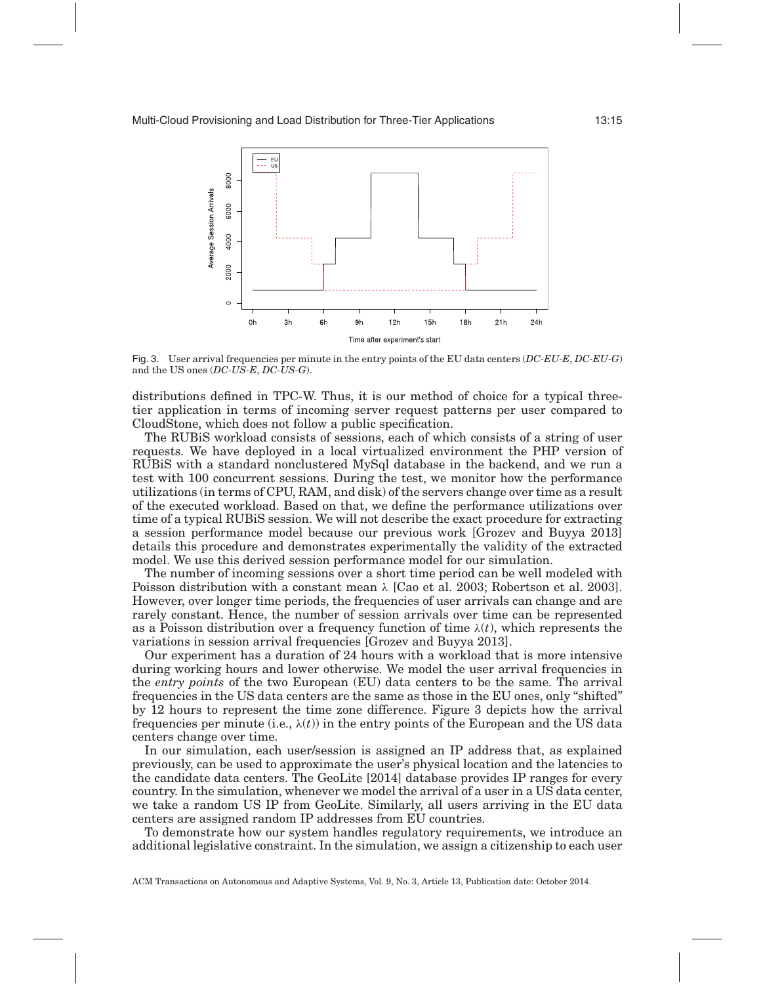<span id="page-14-0"></span>

Fig. 3. User arrival frequencies per minute in the entry points of the EU data centers (*DC-EU-E*, *DC-EU-G*) and the US ones (*DC-US-E*, *DC-US-G*).

distributions defined in TPC-W. Thus, it is our method of choice for a typical threetier application in terms of incoming server request patterns per user compared to CloudStone, which does not follow a public specification.

The RUBiS workload consists of sessions, each of which consists of a string of user requests. We have deployed in a local virtualized environment the PHP version of RUBiS with a standard nonclustered MySql database in the backend, and we run a test with 100 concurrent sessions. During the test, we monitor how the performance utilizations (in terms of CPU, RAM, and disk) of the servers change over time as a result of the executed workload. Based on that, we define the performance utilizations over time of a typical RUBiS session. We will not describe the exact procedure for extracting a session performance model because our previous work [Grozev and Buyya [2013\]](#page-19-24) details this procedure and demonstrates experimentally the validity of the extracted model. We use this derived session performance model for our simulation.

The number of incoming sessions over a short time period can be well modeled with Poisson distribution with a constant mean  $\lambda$  [Cao et al. [2003;](#page-19-28) Robertson et al. [2003\]](#page-20-13). However, over longer time periods, the frequencies of user arrivals can change and are rarely constant. Hence, the number of session arrivals over time can be represented as a Poisson distribution over a frequency function of time  $\lambda(t)$ , which represents the variations in session arrival frequencies [Grozev and Buyya [2013\]](#page-19-24).

Our experiment has a duration of 24 hours with a workload that is more intensive during working hours and lower otherwise. We model the user arrival frequencies in the *entry points* of the two European (EU) data centers to be the same. The arrival frequencies in the US data centers are the same as those in the EU ones, only "shifted" by 12 hours to represent the time zone difference. Figure [3](#page-14-0) depicts how the arrival frequencies per minute (i.e.,  $\lambda(t)$ ) in the entry points of the European and the US data centers change over time.

In our simulation, each user/session is assigned an IP address that, as explained previously, can be used to approximate the user's physical location and the latencies to the candidate data centers. The GeoLite [\[2014\]](#page-19-22) database provides IP ranges for every country. In the simulation, whenever we model the arrival of a user in a US data center, we take a random US IP from GeoLite. Similarly, all users arriving in the EU data centers are assigned random IP addresses from EU countries.

To demonstrate how our system handles regulatory requirements, we introduce an additional legislative constraint. In the simulation, we assign a citizenship to each user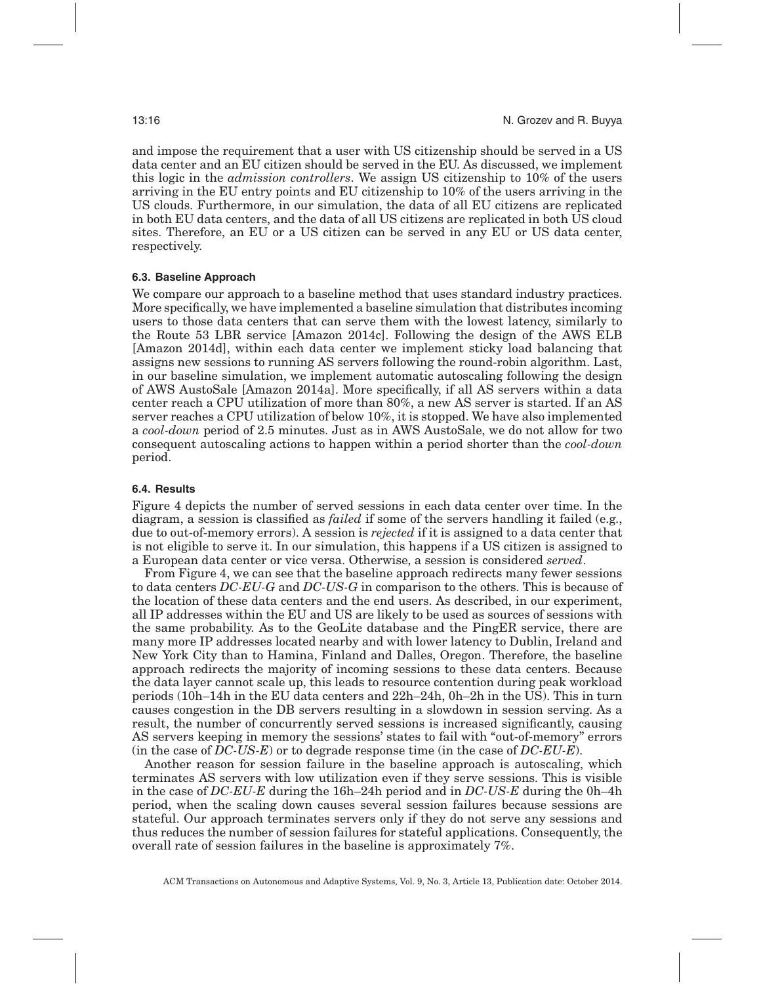and impose the requirement that a user with US citizenship should be served in a US data center and an EU citizen should be served in the EU. As discussed, we implement this logic in the *admission controllers*. We assign US citizenship to 10% of the users arriving in the EU entry points and EU citizenship to 10% of the users arriving in the US clouds. Furthermore, in our simulation, the data of all EU citizens are replicated in both EU data centers, and the data of all US citizens are replicated in both US cloud sites. Therefore, an EU or a US citizen can be served in any EU or US data center, respectively.

## **6.3. Baseline Approach**

We compare our approach to a baseline method that uses standard industry practices. More specifically, we have implemented a baseline simulation that distributes incoming users to those data centers that can serve them with the lowest latency, similarly to the Route 53 LBR service [Amazon [2014c\]](#page-18-2). Following the design of the AWS ELB [Amazon [2014d\]](#page-18-3), within each data center we implement sticky load balancing that assigns new sessions to running AS servers following the round-robin algorithm. Last, in our baseline simulation, we implement automatic autoscaling following the design of AWS AustoSale [Amazon [2014a\]](#page-18-5). More specifically, if all AS servers within a data center reach a CPU utilization of more than 80%, a new AS server is started. If an AS server reaches a CPU utilization of below 10%, it is stopped. We have also implemented a *cool-down* period of 2.5 minutes. Just as in AWS AustoSale, we do not allow for two consequent autoscaling actions to happen within a period shorter than the *cool-down* period.

## **6.4. Results**

Figure [4](#page-16-0) depicts the number of served sessions in each data center over time. In the diagram, a session is classified as *failed* if some of the servers handling it failed (e.g., due to out-of-memory errors). A session is *rejected* if it is assigned to a data center that is not eligible to serve it. In our simulation, this happens if a US citizen is assigned to a European data center or vice versa. Otherwise, a session is considered *served*.

From Figure [4,](#page-16-0) we can see that the baseline approach redirects many fewer sessions to data centers *DC-EU-G* and *DC-US-G* in comparison to the others. This is because of the location of these data centers and the end users. As described, in our experiment, all IP addresses within the EU and US are likely to be used as sources of sessions with the same probability. As to the GeoLite database and the PingER service, there are many more IP addresses located nearby and with lower latency to Dublin, Ireland and New York City than to Hamina, Finland and Dalles, Oregon. Therefore, the baseline approach redirects the majority of incoming sessions to these data centers. Because the data layer cannot scale up, this leads to resource contention during peak workload periods (10h–14h in the EU data centers and 22h–24h, 0h–2h in the US). This in turn causes congestion in the DB servers resulting in a slowdown in session serving. As a result, the number of concurrently served sessions is increased significantly, causing AS servers keeping in memory the sessions' states to fail with "out-of-memory" errors (in the case of *DC-US-E*) or to degrade response time (in the case of *DC-EU-E*).

Another reason for session failure in the baseline approach is autoscaling, which terminates AS servers with low utilization even if they serve sessions. This is visible in the case of *DC-EU-E* during the 16h–24h period and in *DC-US-E* during the 0h–4h period, when the scaling down causes several session failures because sessions are stateful. Our approach terminates servers only if they do not serve any sessions and thus reduces the number of session failures for stateful applications. Consequently, the overall rate of session failures in the baseline is approximately 7%.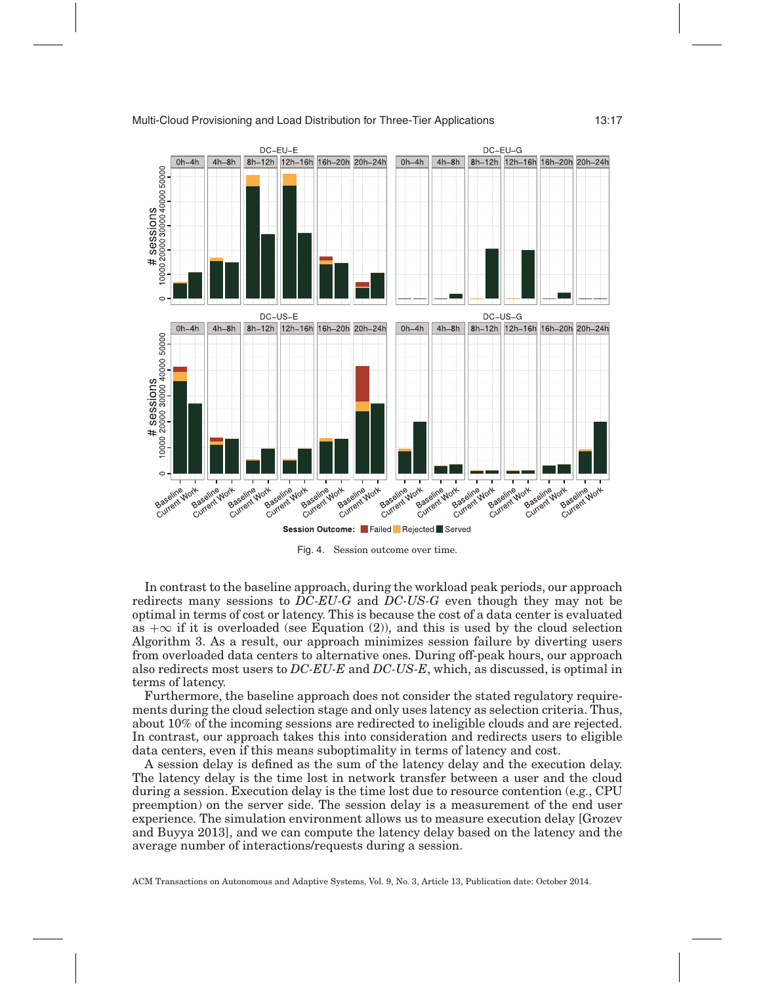<span id="page-16-0"></span>

Fig. 4. Session outcome over time.

In contrast to the baseline approach, during the workload peak periods, our approach redirects many sessions to *DC-EU-G* and *DC-US-G* even though they may not be optimal in terms of cost or latency. This is because the cost of a data center is evaluated as  $+\infty$  if it is overloaded (see Equation (2)), and this is used by the cloud selection Algorithm [3.](#page-9-0) As a result, our approach minimizes session failure by diverting users from overloaded data centers to alternative ones. During off-peak hours, our approach also redirects most users to *DC-EU-E* and *DC-US-E*, which, as discussed, is optimal in terms of latency.

Furthermore, the baseline approach does not consider the stated regulatory requirements during the cloud selection stage and only uses latency as selection criteria. Thus, about 10% of the incoming sessions are redirected to ineligible clouds and are rejected. In contrast, our approach takes this into consideration and redirects users to eligible data centers, even if this means suboptimality in terms of latency and cost.

A session delay is defined as the sum of the latency delay and the execution delay. The latency delay is the time lost in network transfer between a user and the cloud during a session. Execution delay is the time lost due to resource contention (e.g., CPU preemption) on the server side. The session delay is a measurement of the end user experience. The simulation environment allows us to measure execution delay [Grozev and Buyya [2013\]](#page-19-24), and we can compute the latency delay based on the latency and the average number of interactions/requests during a session.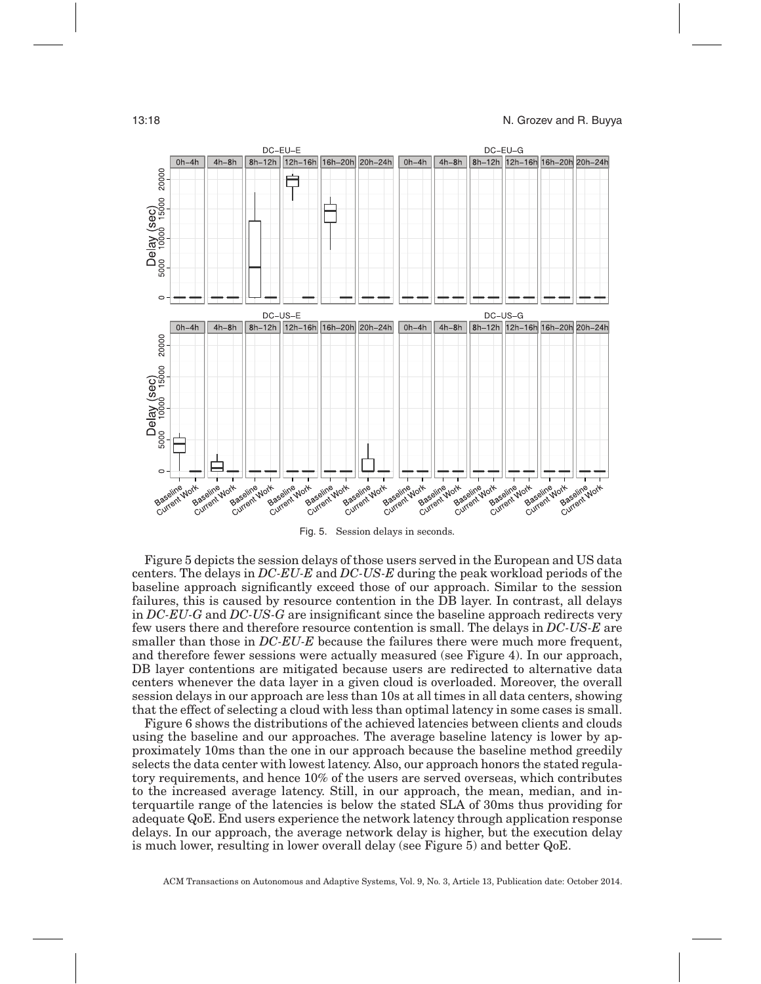<span id="page-17-0"></span>

Fig. 5. Session delays in seconds.

Figure [5](#page-17-0) depicts the session delays of those users served in the European and US data centers. The delays in *DC-EU-E* and *DC-US-E* during the peak workload periods of the baseline approach significantly exceed those of our approach. Similar to the session failures, this is caused by resource contention in the DB layer. In contrast, all delays in *DC-EU-G* and *DC-US-G* are insignificant since the baseline approach redirects very few users there and therefore resource contention is small. The delays in *DC-US-E* are smaller than those in *DC-EU-E* because the failures there were much more frequent, and therefore fewer sessions were actually measured (see Figure [4\)](#page-16-0). In our approach, DB layer contentions are mitigated because users are redirected to alternative data centers whenever the data layer in a given cloud is overloaded. Moreover, the overall session delays in our approach are less than 10s at all times in all data centers, showing that the effect of selecting a cloud with less than optimal latency in some cases is small.

Figure [6](#page-18-7) shows the distributions of the achieved latencies between clients and clouds using the baseline and our approaches. The average baseline latency is lower by approximately 10ms than the one in our approach because the baseline method greedily selects the data center with lowest latency. Also, our approach honors the stated regulatory requirements, and hence 10% of the users are served overseas, which contributes to the increased average latency. Still, in our approach, the mean, median, and interquartile range of the latencies is below the stated SLA of 30ms thus providing for adequate QoE. End users experience the network latency through application response delays. In our approach, the average network delay is higher, but the execution delay is much lower, resulting in lower overall delay (see Figure [5\)](#page-17-0) and better QoE.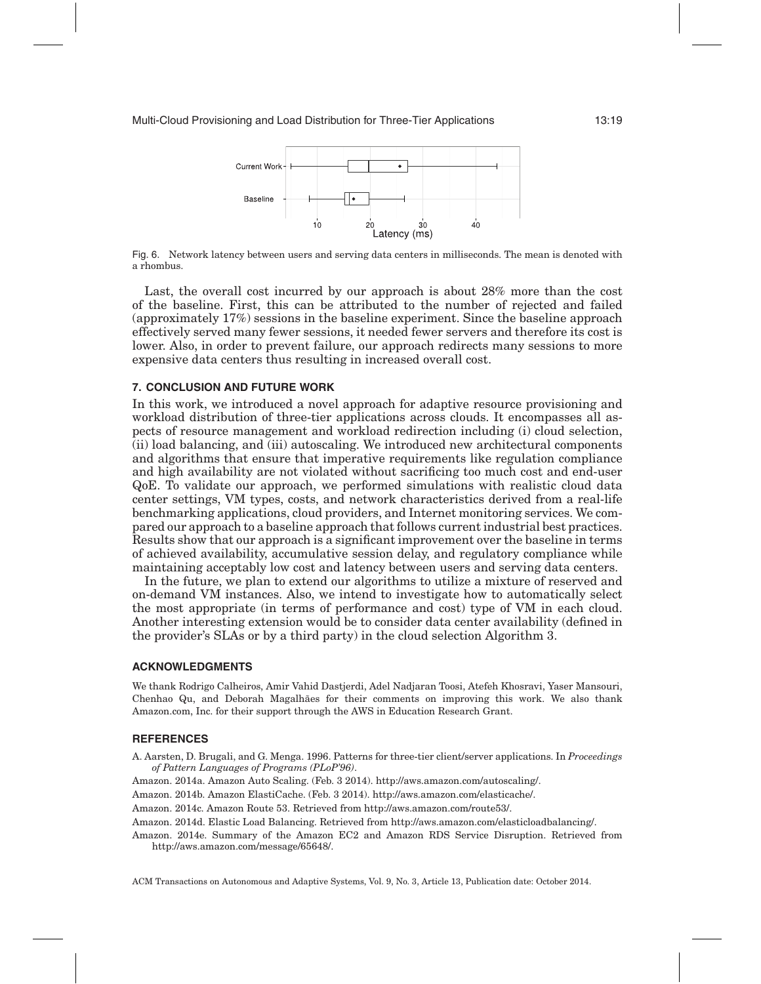<span id="page-18-7"></span>

Fig. 6. Network latency between users and serving data centers in milliseconds. The mean is denoted with a rhombus.

Last, the overall cost incurred by our approach is about 28% more than the cost of the baseline. First, this can be attributed to the number of rejected and failed (approximately 17%) sessions in the baseline experiment. Since the baseline approach effectively served many fewer sessions, it needed fewer servers and therefore its cost is lower. Also, in order to prevent failure, our approach redirects many sessions to more expensive data centers thus resulting in increased overall cost.

#### **7. CONCLUSION AND FUTURE WORK**

<span id="page-18-1"></span>In this work, we introduced a novel approach for adaptive resource provisioning and workload distribution of three-tier applications across clouds. It encompasses all aspects of resource management and workload redirection including (i) cloud selection, (ii) load balancing, and (iii) autoscaling. We introduced new architectural components and algorithms that ensure that imperative requirements like regulation compliance and high availability are not violated without sacrificing too much cost and end-user QoE. To validate our approach, we performed simulations with realistic cloud data center settings, VM types, costs, and network characteristics derived from a real-life benchmarking applications, cloud providers, and Internet monitoring services. We compared our approach to a baseline approach that follows current industrial best practices. Results show that our approach is a significant improvement over the baseline in terms of achieved availability, accumulative session delay, and regulatory compliance while maintaining acceptably low cost and latency between users and serving data centers.

In the future, we plan to extend our algorithms to utilize a mixture of reserved and on-demand VM instances. Also, we intend to investigate how to automatically select the most appropriate (in terms of performance and cost) type of VM in each cloud. Another interesting extension would be to consider data center availability (defined in the provider's SLAs or by a third party) in the cloud selection Algorithm [3.](#page-9-0)

#### **ACKNOWLEDGMENTS**

We thank Rodrigo Calheiros, Amir Vahid Dastjerdi, Adel Nadjaran Toosi, Atefeh Khosravi, Yaser Mansouri, Chenhao Qu, and Deborah Magalhães for their comments on improving this work. We also thank Amazon.com, Inc. for their support through the AWS in Education Research Grant.

#### **REFERENCES**

<span id="page-18-4"></span>A. Aarsten, D. Brugali, and G. Menga. 1996. Patterns for three-tier client/server applications. In *Proceedings of Pattern Languages of Programs (PLoP'96)*.

<span id="page-18-5"></span>Amazon. 2014a. Amazon Auto Scaling. (Feb. 3 2014).<http://aws.amazon.com/autoscaling/.>

<span id="page-18-6"></span>Amazon. 2014b. Amazon ElastiCache. (Feb. 3 2014).<http://aws.amazon.com/elasticache/.>

<span id="page-18-2"></span>Amazon. 2014c. Amazon Route 53. Retrieved from [http://aws.amazon.com/route53/.](http://aws.amazon.com/route53/)

<span id="page-18-3"></span>Amazon. 2014d. Elastic Load Balancing. Retrieved from [http://aws.amazon.com/elasticloadbalancing/.](http://aws.amazon.com/elasticloadbalancing/)

<span id="page-18-0"></span>Amazon. 2014e. Summary of the Amazon EC2 and Amazon RDS Service Disruption. Retrieved from [http://aws.amazon.com/message/65648/.](http://aws.amazon.com/message/65648/)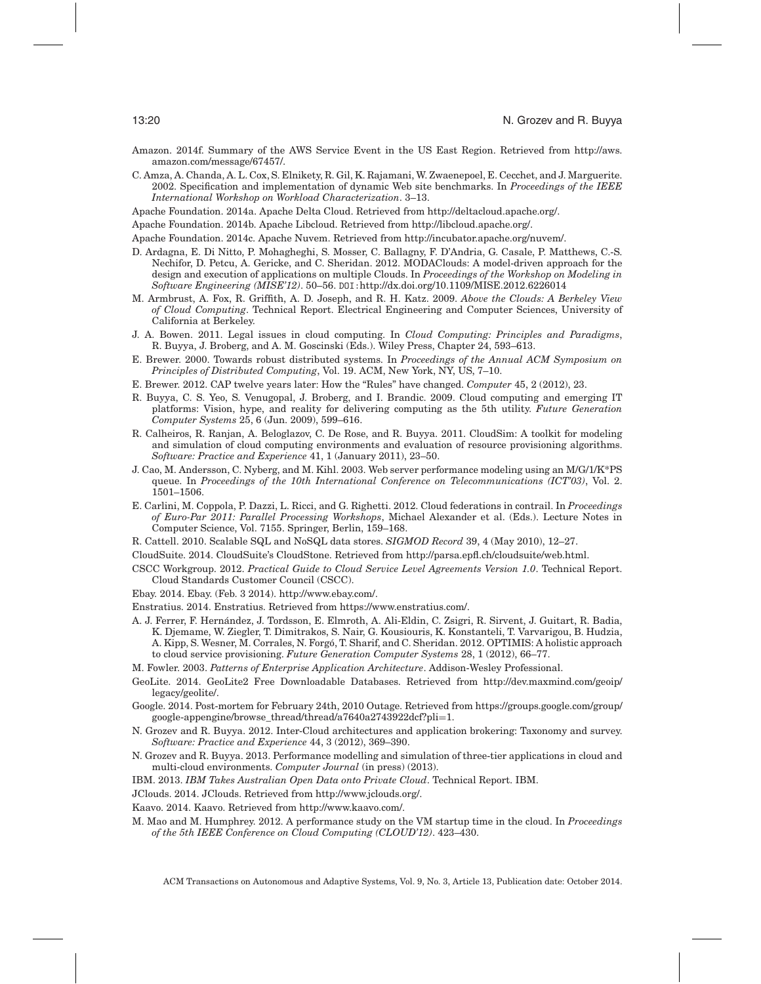- <span id="page-19-1"></span>Amazon. 2014f. Summary of the AWS Service Event in the US East Region. Retrieved from [http://aws.](http://aws.amazon.com/message/67457/) [amazon.com/message/67457/.](http://aws.amazon.com/message/67457/)
- <span id="page-19-26"></span>C. Amza, A. Chanda, A. L. Cox, S. Elnikety, R. Gil, K. Rajamani, W. Zwaenepoel, E. Cecchet, and J. Marguerite. 2002. Specification and implementation of dynamic Web site benchmarks. In *Proceedings of the IEEE International Workshop on Workload Characterization*. 3–13.
- <span id="page-19-11"></span>Apache Foundation. 2014a. Apache Delta Cloud. Retrieved from [http://deltacloud.apache.org/.](http://deltacloud.apache.org/)
- <span id="page-19-10"></span>Apache Foundation. 2014b. Apache Libcloud. Retrieved from [http://libcloud.apache.org/.](http://libcloud.apache.org/)
- <span id="page-19-12"></span>Apache Foundation. 2014c. Apache Nuvem. Retrieved from [http://incubator.apache.org/nuvem/.](http://incubator.apache.org/nuvem/)
- <span id="page-19-16"></span>D. Ardagna, E. Di Nitto, P. Mohagheghi, S. Mosser, C. Ballagny, F. D'Andria, G. Casale, P. Matthews, C.-S. Nechifor, D. Petcu, A. Gericke, and C. Sheridan. 2012. MODAClouds: A model-driven approach for the design and execution of applications on multiple Clouds. In *Proceedings of the Workshop on Modeling in Software Engineering (MISE'12)*. 50–56. DOI:<http://dx.doi.org/10.1109/MISE.2012.6226014>
- <span id="page-19-3"></span>M. Armbrust, A. Fox, R. Griffith, A. D. Joseph, and R. H. Katz. 2009. *Above the Clouds: A Berkeley View of Cloud Computing*. Technical Report. Electrical Engineering and Computer Sciences, University of California at Berkeley.
- <span id="page-19-4"></span>J. A. Bowen. 2011. Legal issues in cloud computing. In *Cloud Computing: Principles and Paradigms*, R. Buyya, J. Broberg, and A. M. Goscinski (Eds.). Wiley Press, Chapter 24, 593–613.
- <span id="page-19-19"></span>E. Brewer. 2000. Towards robust distributed systems. In *Proceedings of the Annual ACM Symposium on Principles of Distributed Computing*, Vol. 19. ACM, New York, NY, US, 7–10.
- <span id="page-19-20"></span>E. Brewer. 2012. CAP twelve years later: How the "Rules" have changed. *Computer* 45, 2 (2012), 23.
- <span id="page-19-0"></span>R. Buyya, C. S. Yeo, S. Venugopal, J. Broberg, and I. Brandic. 2009. Cloud computing and emerging IT platforms: Vision, hype, and reality for delivering computing as the 5th utility. *Future Generation Computer Systems* 25, 6 (Jun. 2009), 599–616.
- <span id="page-19-23"></span>R. Calheiros, R. Ranjan, A. Beloglazov, C. De Rose, and R. Buyya. 2011. CloudSim: A toolkit for modeling and simulation of cloud computing environments and evaluation of resource provisioning algorithms. *Software: Practice and Experience* 41, 1 (January 2011), 23–50.
- <span id="page-19-28"></span>J. Cao, M. Andersson, C. Nyberg, and M. Kihl. 2003. Web server performance modeling using an M/G/1/K\*PS queue. In *Proceedings of the 10th International Conference on Telecommunications (ICT'03)*, Vol. 2. 1501–1506.
- <span id="page-19-15"></span>E. Carlini, M. Coppola, P. Dazzi, L. Ricci, and G. Righetti. 2012. Cloud federations in contrail. In *Proceedings of Euro-Par 2011: Parallel Processing Workshops*, Michael Alexander et al. (Eds.). Lecture Notes in Computer Science, Vol. 7155. Springer, Berlin, 159–168.
- <span id="page-19-21"></span>R. Cattell. 2010. Scalable SQL and NoSQL data stores. *SIGMOD Record* 39, 4 (May 2010), 12–27.
- <span id="page-19-27"></span>CloudSuite. 2014. CloudSuite's CloudStone. Retrieved from [http://parsa.epfl.ch/cloudsuite/web.html.](http://parsa.epfl.ch/cloudsuite/web.html)
- <span id="page-19-17"></span>CSCC Workgroup. 2012. *Practical Guide to Cloud Service Level Agreements Version 1.0*. Technical Report. Cloud Standards Customer Council (CSCC).
- <span id="page-19-8"></span>Ebay. 2014. Ebay. (Feb. 3 2014).<http://www.ebay.com/.>
- <span id="page-19-13"></span>Enstratius. 2014. Enstratius. Retrieved from [https://www.enstratius.com/.](https://www.enstratius.com/)
- <span id="page-19-5"></span>A. J. Ferrer, F. Hernandez, J. Tordsson, E. Elmroth, A. Ali-Eldin, C. Zsigri, R. Sirvent, J. Guitart, R. Badia, ´ K. Djemame, W. Ziegler, T. Dimitrakos, S. Nair, G. Kousiouris, K. Konstanteli, T. Varvarigou, B. Hudzia, A. Kipp, S. Wesner, M. Corrales, N. Forgó, T. Sharif, and C. Sheridan. 2012. OPTIMIS: A holistic approach to cloud service provisioning. *Future Generation Computer Systems* 28, 1 (2012), 66–77.
- <span id="page-19-18"></span>M. Fowler. 2003. *Patterns of Enterprise Application Architecture*. Addison-Wesley Professional.
- <span id="page-19-22"></span>GeoLite. 2014. GeoLite2 Free Downloadable Databases. Retrieved from [http://dev.maxmind.com/geoip/](http://dev.maxmind.com/geoip/legacy/geolite/) [legacy/geolite/.](http://dev.maxmind.com/geoip/legacy/geolite/)
- <span id="page-19-2"></span>Google. 2014. Post-mortem for February 24th, 2010 Outage. Retrieved from [https://groups.google.com/group/](https://groups.google.com/group/google-appengine/browsethread/thread/a7640a2743922dcf?pli=1) [google-appengine/browse\\_thread/thread/a7640a2743922dcf?pli](https://groups.google.com/group/google-appengine/browsethread/thread/a7640a2743922dcf?pli=1)=1.
- <span id="page-19-6"></span>N. Grozev and R. Buyya. 2012. Inter-Cloud architectures and application brokering: Taxonomy and survey. *Software: Practice and Experience* 44, 3 (2012), 369–390.
- <span id="page-19-24"></span>N. Grozev and R. Buyya. 2013. Performance modelling and simulation of three-tier applications in cloud and multi-cloud environments. *Computer Journal* (in press) (2013).
- <span id="page-19-7"></span>IBM. 2013. *IBM Takes Australian Open Data onto Private Cloud*. Technical Report. IBM.
- <span id="page-19-9"></span>JClouds. 2014. JClouds. Retrieved from [http://www.jclouds.org/.](http://www.jclouds.org/)
- <span id="page-19-14"></span>Kaavo. 2014. Kaavo. Retrieved from [http://www.kaavo.com/.](http://www.kaavo.com/)
- <span id="page-19-25"></span>M. Mao and M. Humphrey. 2012. A performance study on the VM startup time in the cloud. In *Proceedings of the 5th IEEE Conference on Cloud Computing (CLOUD'12)*. 423–430.